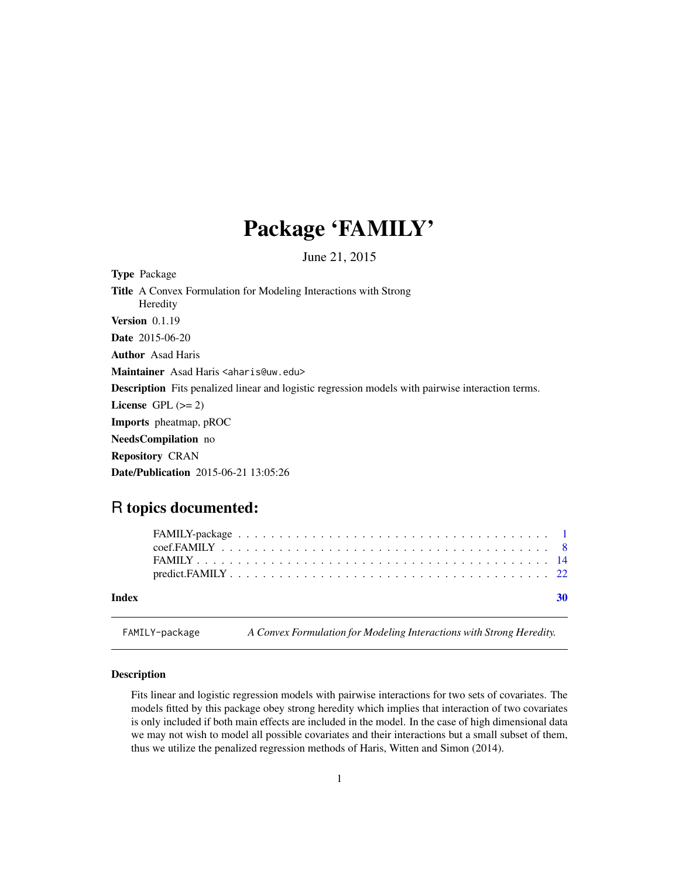## Package 'FAMILY'

June 21, 2015

<span id="page-0-0"></span>Type Package Title A Convex Formulation for Modeling Interactions with Strong Heredity Version 0.1.19 Date 2015-06-20 Author Asad Haris Maintainer Asad Haris <aharis@uw.edu> Description Fits penalized linear and logistic regression models with pairwise interaction terms. License GPL  $(>= 2)$ Imports pheatmap, pROC NeedsCompilation no Repository CRAN Date/Publication 2015-06-21 13:05:26

### R topics documented:

| Index |  |
|-------|--|

FAMILY-package *A Convex Formulation for Modeling Interactions with Strong Heredity.*

#### Description

Fits linear and logistic regression models with pairwise interactions for two sets of covariates. The models fitted by this package obey strong heredity which implies that interaction of two covariates is only included if both main effects are included in the model. In the case of high dimensional data we may not wish to model all possible covariates and their interactions but a small subset of them, thus we utilize the penalized regression methods of Haris, Witten and Simon (2014).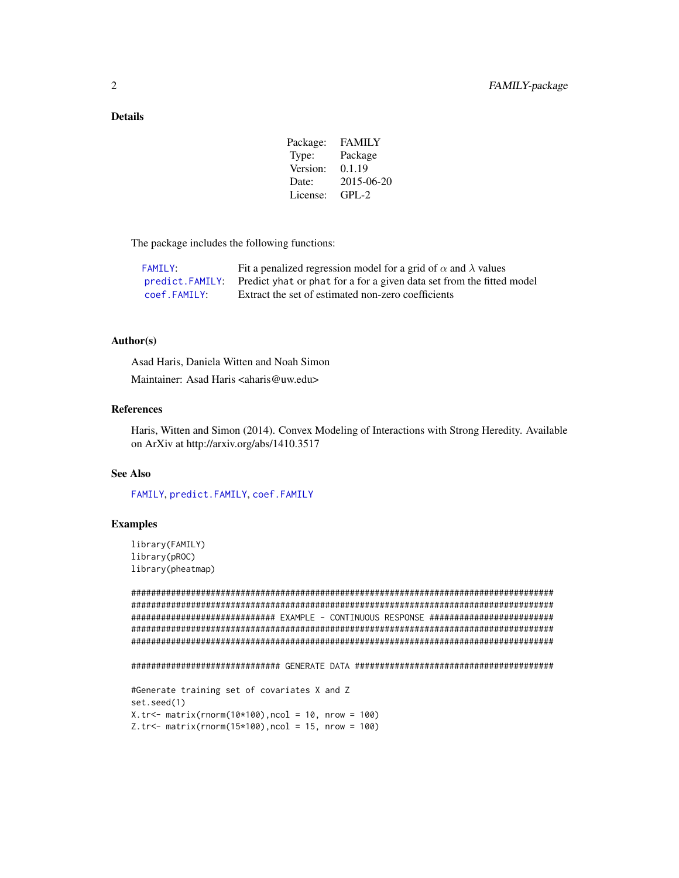#### <span id="page-1-0"></span>**Details**

| Package: | <b>FAMILY</b> |
|----------|---------------|
| Type:    | Package       |
| Version: | 0.1.19        |
| Date:    | 2015-06-20    |
| License: | $GPL-2$       |

The package includes the following functions:

| <b>FAMILY:</b> | Fit a penalized regression model for a grid of $\alpha$ and $\lambda$ values           |
|----------------|----------------------------------------------------------------------------------------|
|                | predict. FAMILY: Predict yhat or phat for a for a given data set from the fitted model |
| coef.FAMILY:   | Extract the set of estimated non-zero coefficients                                     |

#### Author(s)

Asad Haris, Daniela Witten and Noah Simon

Maintainer: Asad Haris <aharis@uw.edu>

#### **References**

Haris, Witten and Simon (2014). Convex Modeling of Interactions with Strong Heredity. Available on ArXiv at http://arxiv.org/abs/1410.3517

#### **See Also**

FAMILY, predict. FAMILY, coef. FAMILY

#### **Examples**

```
library(FAMILY)
library(pROC)
library(pheatmap)
```

```
#Generate training set of covariates X and Z
set.seed(1)
X. tr < - matrix(rnorm(10*100), ncol = 10, nrow = 100)
Z. tr < - matrix(rnorm(15*100), ncol = 15, nrow = 100)
```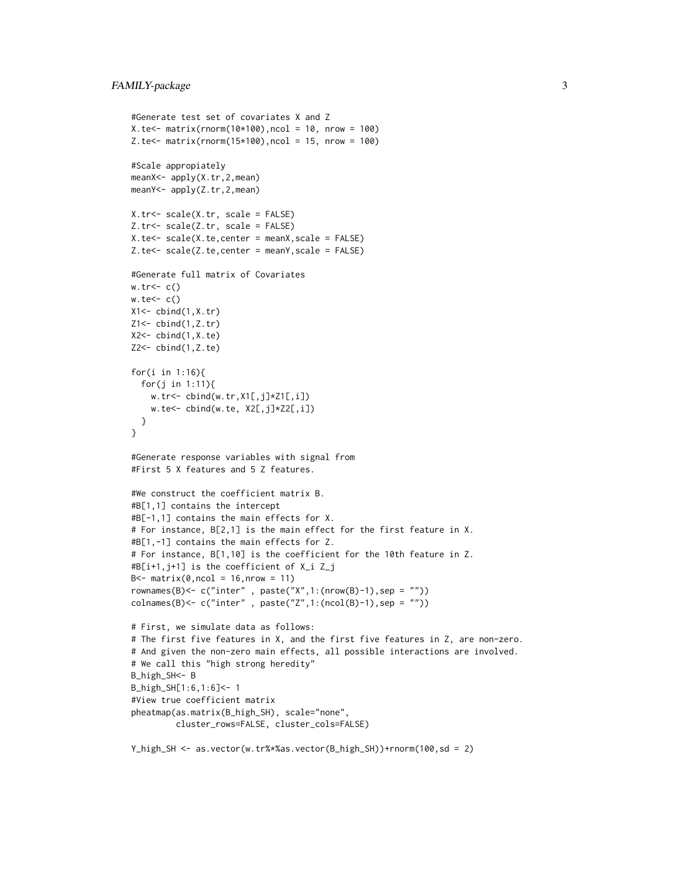```
#Generate test set of covariates X and Z
X.te < - matrix(rnorm(10*100), ncol = 10, nrow = 100)
Z.te<- matrix(rnorm(15*100),ncol = 15, nrow = 100)
#Scale appropiately
meanX<- apply(X.tr,2,mean)
meanY<- apply(Z.tr,2,mean)
X.tr<- scale(X.tr, scale = FALSE)
Z.tr<- scale(Z.tr, scale = FALSE)
X.te<- scale(X.te,center = meanX,scale = FALSE)
Z.te<- scale(Z.te,center = meanY,scale = FALSE)
#Generate full matrix of Covariates
w.tr < -c()w.te <- c()
X1 \leftarrow \text{cbind}(1, X \cdot \text{tr})Z1 \leftarrow \text{cbind}(1, Z. \text{tr})X2 \leftarrow \text{cbind}(1, X.te)Z2<- cbind(1,Z.te)
for(i in 1:16){
  for(j in 1:11){
    w.tr<- cbind(w.tr,X1[,j]*Z1[,i])
    w.te<- cbind(w.te, X2[,j]*Z2[,i])
  }
}
#Generate response variables with signal from
#First 5 X features and 5 Z features.
#We construct the coefficient matrix B.
#B[1,1] contains the intercept
#B[-1,1] contains the main effects for X.
# For instance, B[2,1] is the main effect for the first feature in X.
#B[1,-1] contains the main effects for Z.
# For instance, B[1,10] is the coefficient for the 10th feature in Z.
#B[i+1,j+1] is the coefficient of X_i Z_j
B <- matrix(0, ncol = 16, nrow = 11)
rownames(B)<- c("inter" , paste("X",1:(nrow(B)-1),sep = ""))
colnames(B) <- c("inter", paste("Z",1:(ncol(B)-1),sep = ""))
# First, we simulate data as follows:
# The first five features in X, and the first five features in Z, are non-zero.
# And given the non-zero main effects, all possible interactions are involved.
# We call this "high strong heredity"
B_high_SH<- B
B_high_SH[1:6,1:6]<- 1
#View true coefficient matrix
pheatmap(as.matrix(B_high_SH), scale="none",
         cluster_rows=FALSE, cluster_cols=FALSE)
```

```
Y_high_SH <- as.vector(w.tr%*%as.vector(B_high_SH))+rnorm(100,sd = 2)
```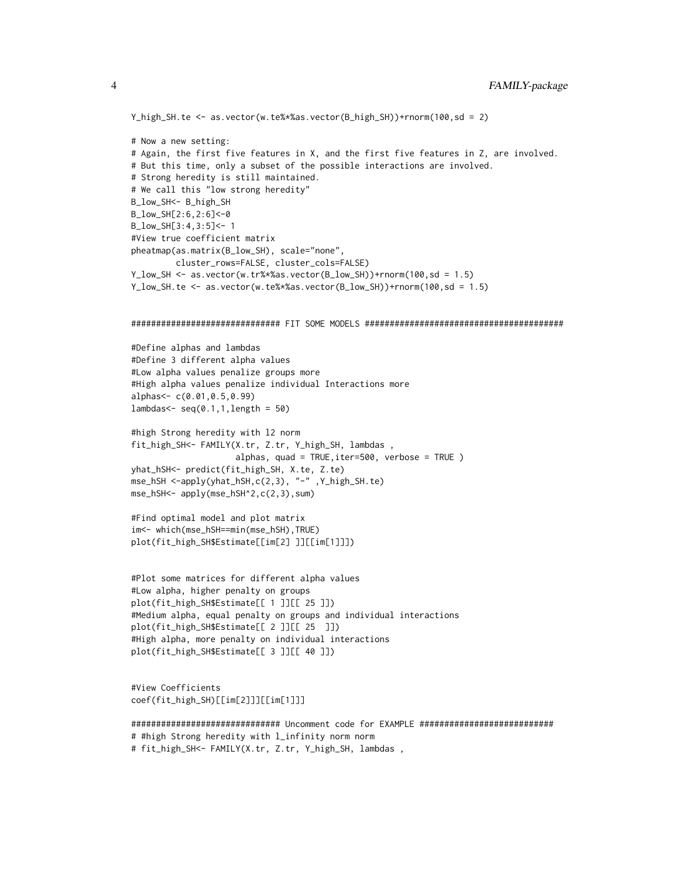```
Y_high_SH.te <- as.vector(w.te%*%as.vector(B_high_SH))+rnorm(100,sd = 2)
# Now a new setting:
# Again, the first five features in X, and the first five features in Z, are involved.
# But this time, only a subset of the possible interactions are involved.
# Strong heredity is still maintained.
# We call this "low strong heredity"
B_low_SH<- B_high_SH
B_low_SH[2:6,2:6]<-0
B_low_SH[3:4,3:5]<- 1
#View true coefficient matrix
pheatmap(as.matrix(B_low_SH), scale="none",
         cluster_rows=FALSE, cluster_cols=FALSE)
Y_low_SH <- as.vector(w.tr%*%as.vector(B_low_SH))+rnorm(100,sd = 1.5)
Y_low_SH.te <- as.vector(w.te%*%as.vector(B_low_SH))+rnorm(100,sd = 1.5)
############################## FIT SOME MODELS ########################################
#Define alphas and lambdas
#Define 3 different alpha values
#Low alpha values penalize groups more
#High alpha values penalize individual Interactions more
alphas<- c(0.01,0.5,0.99)
lambdas<-seq(0.1,1,length = 50)#high Strong heredity with l2 norm
fit_high_SH<- FAMILY(X.tr, Z.tr, Y_high_SH, lambdas ,
                     alphas, quad = TRUE,iter=500, verbose = TRUE )
yhat_hSH<- predict(fit_high_SH, X.te, Z.te)
mse_hSH <-apply(yhat_hSH,c(2,3), "-" ,Y_high_SH.te)
mse_hSH<- apply(mse_hSH^2,c(2,3),sum)
#Find optimal model and plot matrix
im<- which(mse_hSH==min(mse_hSH),TRUE)
plot(fit_high_SH$Estimate[[im[2] ]][[im[1]]])
#Plot some matrices for different alpha values
#Low alpha, higher penalty on groups
plot(fit_high_SH$Estimate[[ 1 ]][[ 25 ]])
#Medium alpha, equal penalty on groups and individual interactions
plot(fit_high_SH$Estimate[[ 2 ]][[ 25 ]])
#High alpha, more penalty on individual interactions
plot(fit_high_SH$Estimate[[ 3 ]][[ 40 ]])
#View Coefficients
```
coef(fit\_high\_SH)[[im[2]]][[im[1]]]

############################## Uncomment code for EXAMPLE ########################### # #high Strong heredity with l\_infinity norm norm # fit\_high\_SH<- FAMILY(X.tr, Z.tr, Y\_high\_SH, lambdas ,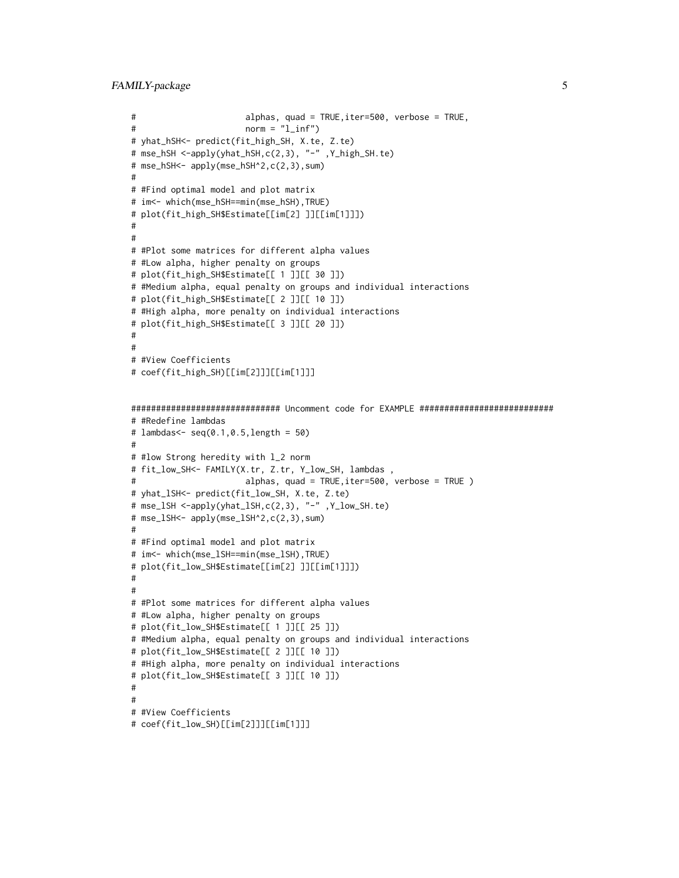#### FAMILY-package 5

```
# alphas, quad = TRUE,iter=500, verbose = TRUE,
# norm = "l_inf")
# yhat_hSH<- predict(fit_high_SH, X.te, Z.te)
# mse_hSH <-apply(yhat_hSH,c(2,3), "-" ,Y_high_SH.te)
# mse_hSH<- apply(mse_hSH^2,c(2,3),sum)
#
# #Find optimal model and plot matrix
# im<- which(mse_hSH==min(mse_hSH),TRUE)
# plot(fit_high_SH$Estimate[[im[2] ]][[im[1]]])
#
#
# #Plot some matrices for different alpha values
# #Low alpha, higher penalty on groups
# plot(fit_high_SH$Estimate[[ 1 ]][[ 30 ]])
# #Medium alpha, equal penalty on groups and individual interactions
# plot(fit_high_SH$Estimate[[ 2 ]][[ 10 ]])
# #High alpha, more penalty on individual interactions
# plot(fit_high_SH$Estimate[[ 3 ]][[ 20 ]])
#
#
# #View Coefficients
# coef(fit_high_SH)[[im[2]]][[im[1]]]
############################## Uncomment code for EXAMPLE ###########################
# #Redefine lambdas
# lambdas<- seq(0.1,0.5,length = 50)
#
# #low Strong heredity with l_2 norm
# fit_low_SH<- FAMILY(X.tr, Z.tr, Y_low_SH, lambdas ,
                      alpha, quad = TRUE, iter=500, verbose = TRUE )
# yhat_lSH<- predict(fit_low_SH, X.te, Z.te)
# mse_lSH <-apply(yhat_lSH,c(2,3), "-" ,Y_low_SH.te)
# mse_lSH<- apply(mse_lSH^2,c(2,3),sum)
#
# #Find optimal model and plot matrix
# im<- which(mse_lSH==min(mse_lSH),TRUE)
# plot(fit_low_SH$Estimate[[im[2] ]][[im[1]]])
#
#
# #Plot some matrices for different alpha values
# #Low alpha, higher penalty on groups
# plot(fit_low_SH$Estimate[[ 1 ]][[ 25 ]])
# #Medium alpha, equal penalty on groups and individual interactions
# plot(fit_low_SH$Estimate[[ 2 ]][[ 10 ]])
# #High alpha, more penalty on individual interactions
# plot(fit_low_SH$Estimate[[ 3 ]][[ 10 ]])
#
#
# #View Coefficients
# coef(fit_low_SH)[[im[2]]][[im[1]]]
```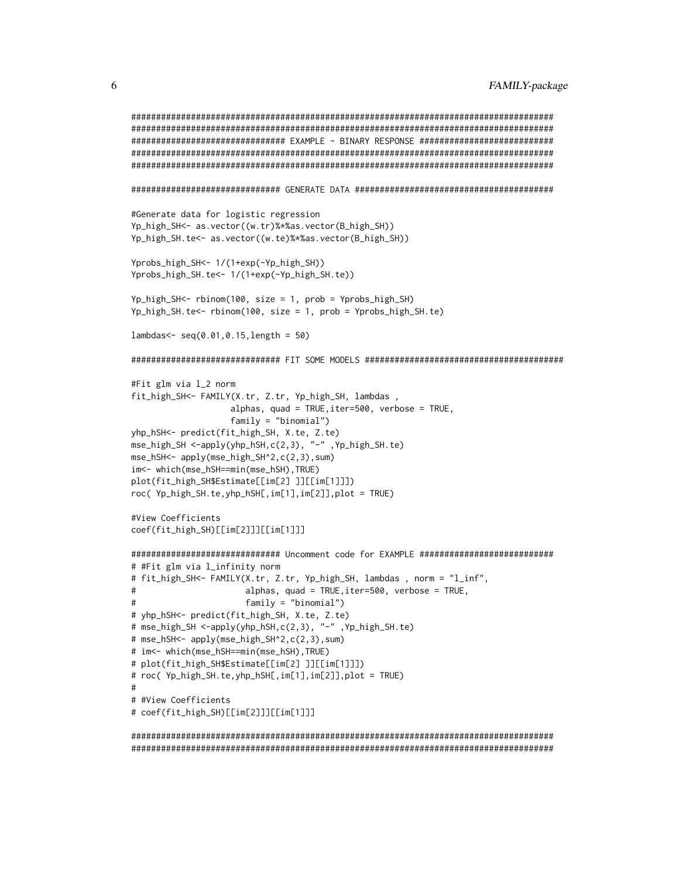```
#Generate data for logistic regression
Yp_high_SH<- as.vector((w.tr)%*%as.vector(B_high_SH))
Yp_high_SH.te<- as.vector((w.te)%*%as.vector(B_high_SH))
Yprobs_high_SH<- 1/(1+exp(-Yp_high_SH))
Yprobs_high_SH.te<- 1/(1+exp(-Yp_high_SH.te))
Yp_high_SH<- rbinom(100, size = 1, prob = Yprobs_high_SH)
Yp_high_SH.te<- rbinom(100, size = 1, prob = Yprobs_high_SH.te)
lambdas<-seq(0.01, 0.15, length = 50)#Fit glm via 1_2 norm
fit_high_SH<- FAMILY(X.tr, Z.tr, Yp_high_SH, lambdas
            alphas, quad = TRUE, iter=500, verbose = TRUE,
            family = "binomial")yhp_hSH<- predict(fit_high_SH, X.te, Z.te)
mse_high_SH <-apply(yhp_hSH,c(2,3), "-",Yp_high_SH.te)
mse_hSH<- apply(mse_high_SH^2,c(2,3),sum)
im<- which(mse_hSH==min(mse_hSH),TRUE)
plot(fit_high_SH$Estimate[[im[2] ]][[im[1]]])
roc( Yp_high_SH.te, yhp_hSH[, im[1], im[2]], plot = TRUE)
#View Coefficients
coef(fit_high_SH)[[im[2]]][[im[1]]]
# #Fit glm via l_infinity norm
# fit_high_SH<- FAMILY(X.tr, Z.tr, Yp_high_SH, lambdas, norm = "l_inf",
\overline{+}alphas, quad = TRUE, iter=500, verbose = TRUE,
              family = "binomial")# yhp_hSH<- predict(fit_high_SH, X.te, Z.te)
# mse_high_SH <-apply(yhp_hSH,c(2,3), "-" ,Yp_high_SH.te)
# mse_hSH<- apply(mse_high_SH^2,c(2,3),sum)
# im<- which(mse_hSH==min(mse_hSH),TRUE)
# plot(fit_high_SH$Estimate[[im[2] ]][[im[1]]])
# roc( Yp_high_SH.te,yhp_hSH[,im[1],im[2]],plot = TRUE)
# #View Coefficients
# coef(fit_high_SH)[[im[2]]][[im[1]]]
```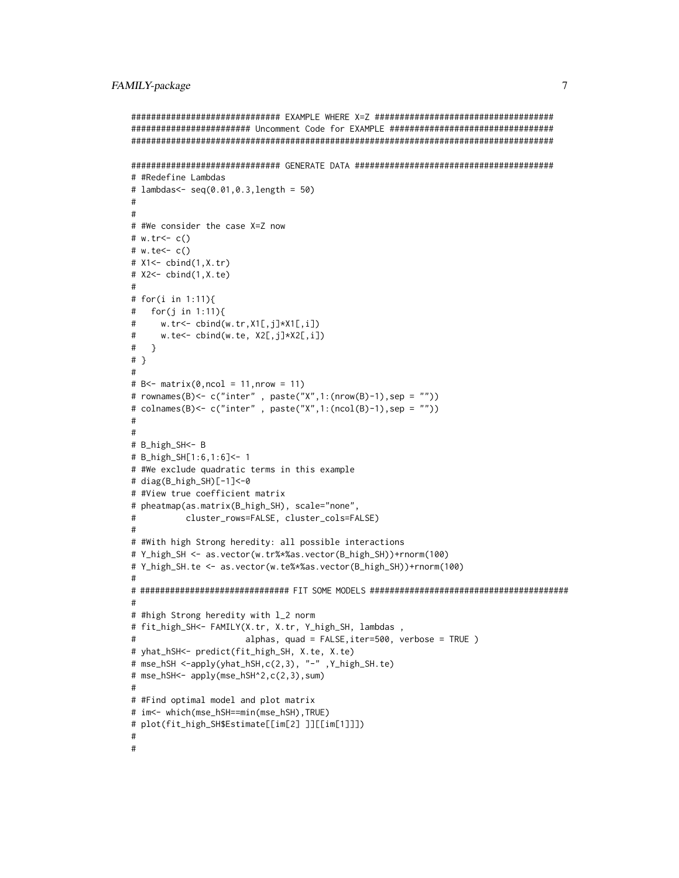#### FAMILY-package

```
# #Redefine Lambdas
# lambdas <- seq(0.01,0.3, length = 50)
## #We consider the case X=Z now
# w.tr < - c()# w.te < -c()# X1 \leftarrow \text{cbind}(1, X \cdot \text{tr})# X2 < - cbind(1, X.te)
## for(i in 1:11){
# for(j in 1:11){
    w.tr<- cbind(w.tr,X1[,j]*X1[,i])
##w.te<- cbind(w.te, X2[,j]*X2[,i])
#\rightarrow# \}## B <- matrix(0, \text{ncol} = 11, \text{nrow} = 11)# rownames(B)<- c("inter", paste("X",1:(nrow(B)-1),sep = ""))<br># colnames(B)<- c("inter", paste("X",1:(ncol(B)-1),sep = ""))
### B_high_SH<- B
# B_high_SH[1:6,1:6] <- 1
# #We exclude quadratic terms in this example
# diag(B_high_SH)[-1]<-0
# #View true coefficient matrix
# pheatmap(as.matrix(B_high_SH), scale="none",
         cluster_rows=FALSE, cluster_cols=FALSE)
### #With high Strong heredity: all possible interactions
# Y_high_SH <- as.vector(w.tr%*%as.vector(B_high_SH))+rnorm(100)
# Y_high_SH.te <- as.vector(w.te%*%as.vector(B_high_SH))+rnorm(100)
### #high Strong heredity with 1_2 norm
# fit_high_SH<- FAMILY(X.tr, X.tr, Y_high_SH, lambdas,
                  alphas, quad = FALSE, iter=500, verbose = TRUE)
## yhat_hSH<- predict(fit_high_SH, X.te, X.te)
# mse_hSH <-apply(yhat_hSH,c(2,3), "-",Y_high_SH.te)
# mse_hSH<- apply(mse_hSH^2,c(2,3),sum)
## #Find optimal model and plot matrix
# im<- which(mse_hSH==min(mse_hSH),TRUE)
# plot(fit_high_SH$Estimate[[im[2] ]][[im[1]]])
#\#
```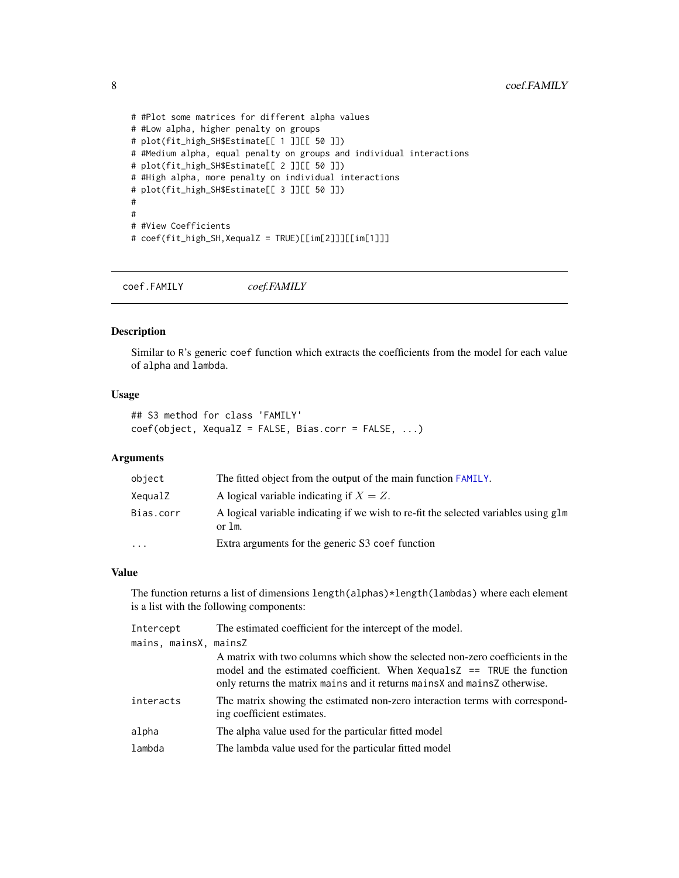```
# #Plot some matrices for different alpha values
# #Low alpha, higher penalty on groups
# plot(fit_high_SH$Estimate[[ 1 ]][[ 50 ]])
# #Medium alpha, equal penalty on groups and individual interactions
# plot(fit_high_SH$Estimate[[ 2 ]][[ 50 ]])
# #High alpha, more penalty on individual interactions
# plot(fit_high_SH$Estimate[[ 3 ]][[ 50 ]])
#
#
# #View Coefficients
# coef(fit_high_SH,XequalZ = TRUE)[[im[2]]][[im[1]]]
```
<span id="page-7-1"></span>coef.FAMILY *coef.FAMILY*

#### Description

Similar to R's generic coef function which extracts the coefficients from the model for each value of alpha and lambda.

#### Usage

```
## S3 method for class 'FAMILY'
coef(object, XequalZ = FALSE, Bias.corr = FALSE, ...)
```
#### Arguments

| object    | The fitted object from the output of the main function <b>FAMILY</b> .                           |
|-----------|--------------------------------------------------------------------------------------------------|
| XequalZ   | A logical variable indicating if $X = Z$ .                                                       |
| Bias.corr | A logical variable indicating if we wish to re-fit the selected variables using glm<br>or $1m$ . |
| $\cdots$  | Extra arguments for the generic S3 coef function                                                 |

#### Value

The function returns a list of dimensions length(alphas)\*length(lambdas) where each element is a list with the following components:

| The estimated coefficient for the intercept of the model.                                                                                                                                                                                   |
|---------------------------------------------------------------------------------------------------------------------------------------------------------------------------------------------------------------------------------------------|
| mains, mainsX, mainsZ                                                                                                                                                                                                                       |
| A matrix with two columns which show the selected non-zero coefficients in the<br>model and the estimated coefficient. When $X$ equalsZ == TRUE the function<br>only returns the matrix mains and it returns mains X and mains Z otherwise. |
| The matrix showing the estimated non-zero interaction terms with correspond-<br>ing coefficient estimates.                                                                                                                                  |
| The alpha value used for the particular fitted model                                                                                                                                                                                        |
| The lambda value used for the particular fitted model                                                                                                                                                                                       |
|                                                                                                                                                                                                                                             |

<span id="page-7-0"></span>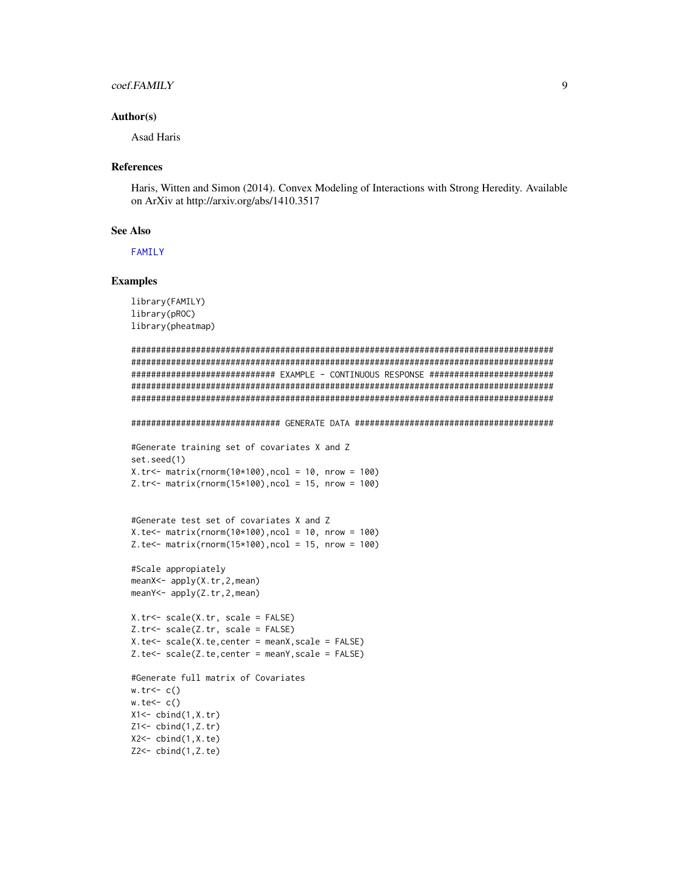#### <span id="page-8-0"></span>coef.FAMILY

#### Author(s)

**Asad Haris** 

#### **References**

Haris, Witten and Simon (2014). Convex Modeling of Interactions with Strong Heredity. Available on ArXiv at http://arxiv.org/abs/1410.3517

#### **See Also**

**FAMILY** 

#### **Examples**

```
library(FAMILY)
library(pROC)
library(pheatmap)
```

```
#Generate training set of covariates X and Z
set.seed(1)
X. tr < - matrix(rnorm(10*100), ncol = 10, nrow = 100)
Z. tr < - matrix(rnorm(15*100), ncol = 15, nrow = 100)
```

```
#Generate test set of covariates X and Z
X.te < - matrix(rnorm(10*100), ncol = 10, nrow = 100)
Z.te<- matrix(rnorm(15*100), ncol = 15, nrow = 100)
```

```
#Scale appropiately
meanX <- apply(X.tr, 2, mean)
meanY<- apply(Z.tr, 2, mean)
```

```
X. tr < - scale(X. tr, scale = FALSE)Z. tr < - scale(Z.tr, scale = FALSE)X.te<-scale(X.te,center = meanX, scale = FALSE)Z.te<-scale(Z.te,center = meanY, scale = FALSE)
```

```
#Generate full matrix of Covariates
w.tr<-c()w.te<-c()X1 \leftarrow \text{cbind}(1, X \cdot \text{tr})Z1<-cbind(1,Z,tr)X2 \leftarrow \text{cbind}(1, X.te)Z2<- cbind(1,Z.te)
```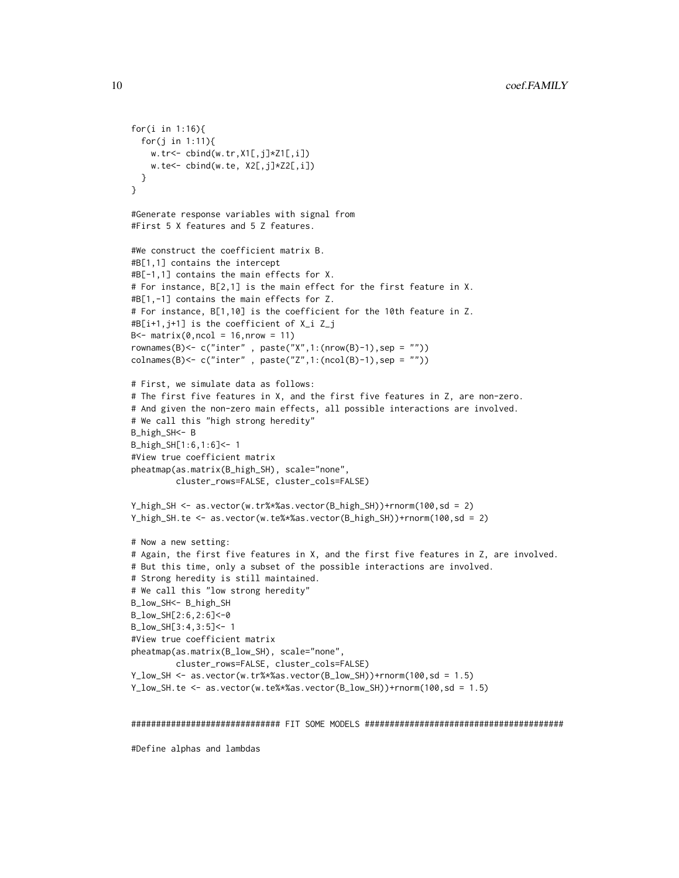```
for(i in 1:16){
 for(j in 1:11){
   w.tr<- cbind(w.tr,X1[,j]*Z1[,i])
   w.te<- cbind(w.te, X2[,j]*Z2[,i])
 }
}
#Generate response variables with signal from
#First 5 X features and 5 Z features.
#We construct the coefficient matrix B.
#B[1,1] contains the intercept
#B[-1,1] contains the main effects for X.
# For instance, B[2,1] is the main effect for the first feature in X.
#B[1,-1] contains the main effects for Z.
# For instance, B[1,10] is the coefficient for the 10th feature in Z.
#B[i+1,j+1] is the coefficient of X_i Z_j
B - matrix(0, ncol = 16, nrow = 11)
rownames(B)<- c("inter" , paste("X",1:(nrow(B)-1),sep = ""))
colnames(B)<- c("inter" , paste("Z",1:(ncol(B)-1),sep = ""))
# First, we simulate data as follows:
# The first five features in X, and the first five features in Z, are non-zero.
# And given the non-zero main effects, all possible interactions are involved.
# We call this "high strong heredity"
B_high_SH<- B
B_high_SH[1:6,1:6]<- 1
#View true coefficient matrix
pheatmap(as.matrix(B_high_SH), scale="none",
         cluster_rows=FALSE, cluster_cols=FALSE)
Y_high_SH <- as.vector(w.tr%*%as.vector(B_high_SH))+rnorm(100,sd = 2)
Y_high_SH.te <- as.vector(w.te%*%as.vector(B_high_SH))+rnorm(100,sd = 2)
# Now a new setting:
# Again, the first five features in X, and the first five features in Z, are involved.
# But this time, only a subset of the possible interactions are involved.
# Strong heredity is still maintained.
# We call this "low strong heredity"
B_low_SH<- B_high_SH
B_low_SH[2:6,2:6]<-0
B_low_SH[3:4,3:5]<- 1
#View true coefficient matrix
pheatmap(as.matrix(B_low_SH), scale="none",
         cluster_rows=FALSE, cluster_cols=FALSE)
Y_low_SH <- as.vector(w.tr%*%as.vector(B_low_SH))+rnorm(100,sd = 1.5)
Y_low_SH.te <- as.vector(w.te%*%as.vector(B_low_SH))+rnorm(100,sd = 1.5)
```
#### ############################## FIT SOME MODELS ########################################

#Define alphas and lambdas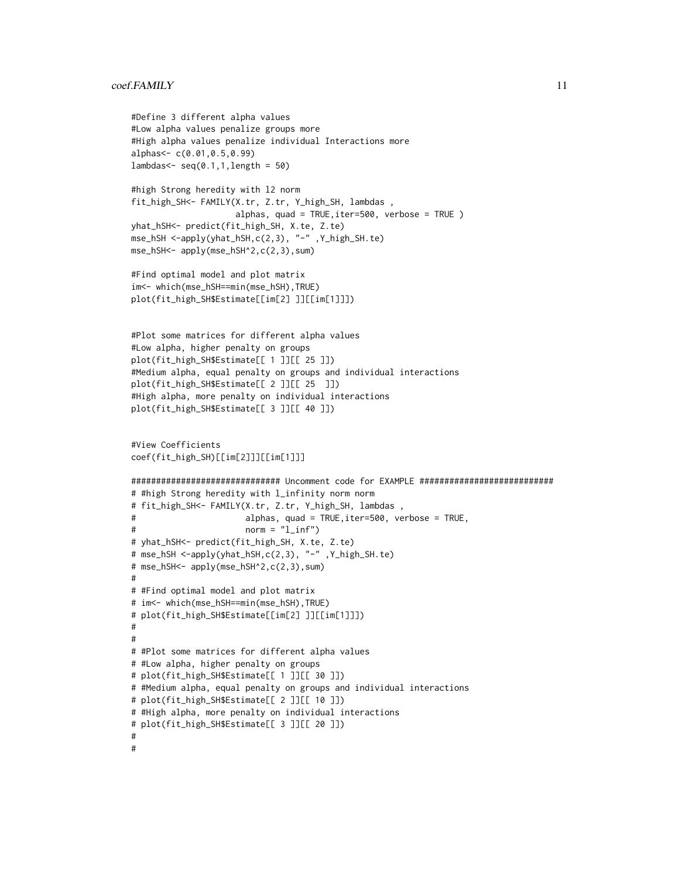#### coef.FAMILY 11

```
#Define 3 different alpha values
#Low alpha values penalize groups more
#High alpha values penalize individual Interactions more
alphas<- c(0.01,0.5,0.99)
lambdas <- seq(0.1, 1, length = 50)#high Strong heredity with l2 norm
fit_high_SH<- FAMILY(X.tr, Z.tr, Y_high_SH, lambdas ,
                     alphas, quad = TRUE,iter=500, verbose = TRUE )
yhat_hSH<- predict(fit_high_SH, X.te, Z.te)
mse_hSH <-apply(yhat_hSH,c(2,3), "-" ,Y_high_SH.te)
mse_hSH<- apply(mse_hSH^2,c(2,3),sum)
#Find optimal model and plot matrix
im<- which(mse_hSH==min(mse_hSH),TRUE)
plot(fit_high_SH$Estimate[[im[2] ]][[im[1]]])
#Plot some matrices for different alpha values
#Low alpha, higher penalty on groups
plot(fit_high_SH$Estimate[[ 1 ]][[ 25 ]])
#Medium alpha, equal penalty on groups and individual interactions
plot(fit_high_SH$Estimate[[ 2 ]][[ 25 ]])
#High alpha, more penalty on individual interactions
plot(fit_high_SH$Estimate[[ 3 ]][[ 40 ]])
#View Coefficients
coef(fit_high_SH)[[im[2]]][[im[1]]]
############################## Uncomment code for EXAMPLE ###########################
# #high Strong heredity with l_infinity norm norm
# fit_high_SH<- FAMILY(X.tr, Z.tr, Y_high_SH, lambdas ,
# alphas, quad = TRUE,iter=500, verbose = TRUE,
                       norm = "l_info")# yhat_hSH<- predict(fit_high_SH, X.te, Z.te)
# mse_hSH <-apply(yhat_hSH,c(2,3), "-" ,Y_high_SH.te)
# mse_hSH<- apply(mse_hSH^2,c(2,3),sum)
#
# #Find optimal model and plot matrix
# im<- which(mse_hSH==min(mse_hSH),TRUE)
# plot(fit_high_SH$Estimate[[im[2] ]][[im[1]]])
#
#
# #Plot some matrices for different alpha values
# #Low alpha, higher penalty on groups
# plot(fit_high_SH$Estimate[[ 1 ]][[ 30 ]])
# #Medium alpha, equal penalty on groups and individual interactions
# plot(fit_high_SH$Estimate[[ 2 ]][[ 10 ]])
# #High alpha, more penalty on individual interactions
# plot(fit_high_SH$Estimate[[ 3 ]][[ 20 ]])
#
#
```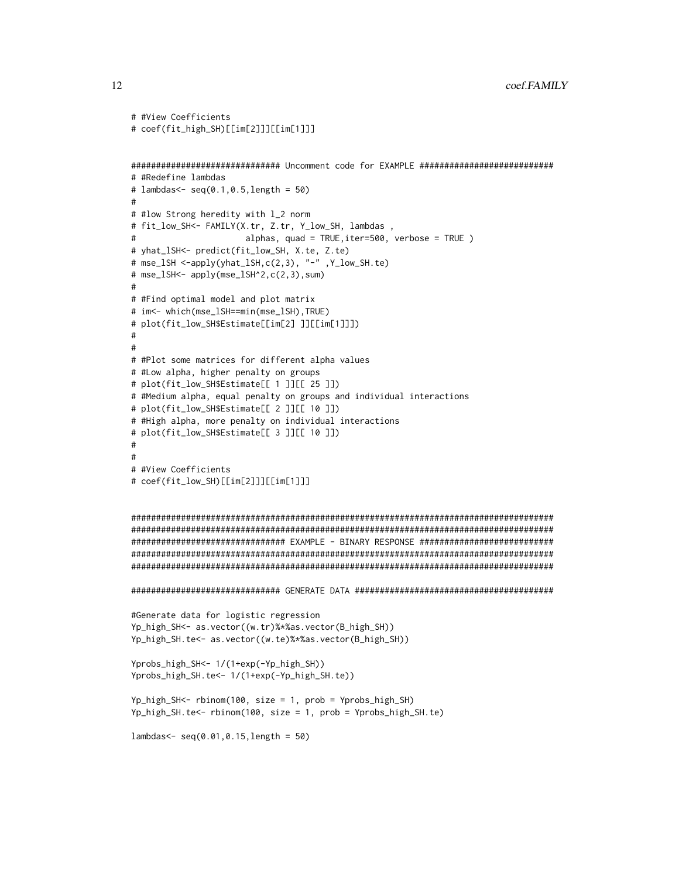```
# coef(fit_high_SH)[[im[2]]][[im[1]]]
############################## Uncomment code for EXAMPLE ###########################
# #Redefine lambdas
# lambdas<- seq(0.1,0.5,length = 50)
#
# #low Strong heredity with l_2 norm
# fit_low_SH<- FAMILY(X.tr, Z.tr, Y_low_SH, lambdas ,
                       alphas, quad = TRUE, iter=500, verbose = TRUE )
# yhat_lSH<- predict(fit_low_SH, X.te, Z.te)
# mse_lSH <-apply(yhat_lSH,c(2,3), "-" ,Y_low_SH.te)
# mse_lSH<- apply(mse_lSH^2,c(2,3),sum)
#
# #Find optimal model and plot matrix
# im<- which(mse_lSH==min(mse_lSH),TRUE)
# plot(fit_low_SH$Estimate[[im[2] ]][[im[1]]])
#
#
# #Plot some matrices for different alpha values
# #Low alpha, higher penalty on groups
# plot(fit_low_SH$Estimate[[ 1 ]][[ 25 ]])
# #Medium alpha, equal penalty on groups and individual interactions
# plot(fit_low_SH$Estimate[[ 2 ]][[ 10 ]])
# #High alpha, more penalty on individual interactions
# plot(fit_low_SH$Estimate[[ 3 ]][[ 10 ]])
#
#
# #View Coefficients
# coef(fit_low_SH)[[im[2]]][[im[1]]]
#####################################################################################
#####################################################################################
############################### EXAMPLE - BINARY RESPONSE ###########################
#####################################################################################
#####################################################################################
############################## GENERATE DATA ########################################
#Generate data for logistic regression
Yp_high_SH<- as.vector((w.tr)%*%as.vector(B_high_SH))
Yp_high_SH.te<- as.vector((w.te)%*%as.vector(B_high_SH))
Yprobs_high_SH<- 1/(1+exp(-Yp_high_SH))
Yprobs_high_SH.te<- 1/(1+exp(-Yp_high_SH.te))
Yp_high_SH<- rbinom(100, size = 1, prob = Yprobs_high_SH)
Yp_high_SH.te<- rbinom(100, size = 1, prob = Yprobs_high_SH.te)
lambdas<- seq(0.01,0.15,length = 50)
```
# #View Coefficients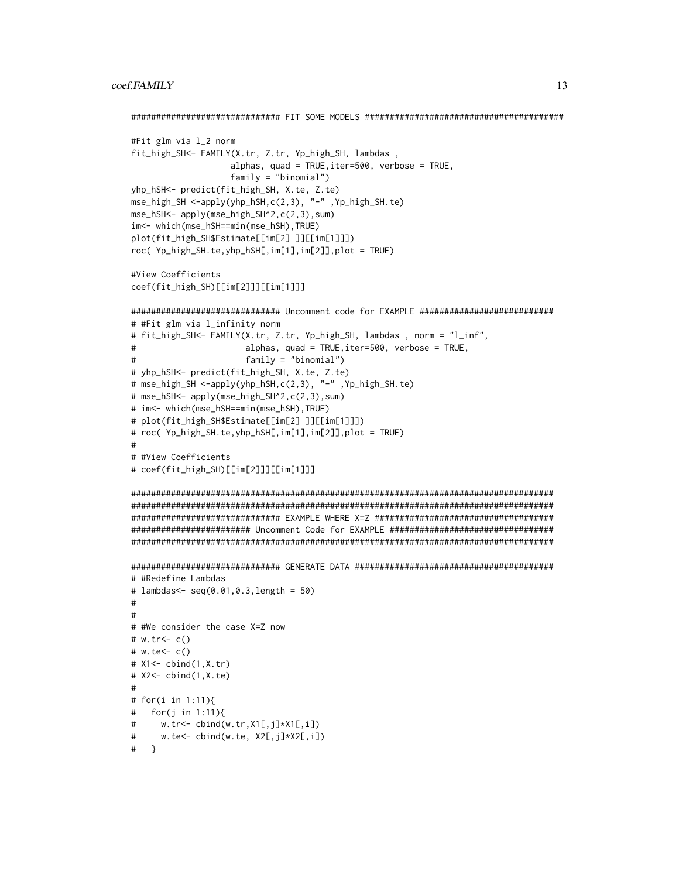```
#Fit glm via 1_2 norm
fit_high_SH<- FAMILY(X.tr, Z.tr, Yp_high_SH, lambdas,
             alphas, quad = TRUE, iter=500, verbose = TRUE,
             family = "binomial")yhp_hSH<- predict(fit_high_SH, X.te, Z.te)
mse_high_SH <-apply(yhp_hSH,c(2,3), "-",Yp_high_SH.te)
mse_hSH<- apply(mse_high_SH^2,c(2,3),sum)
im<- which(mse_hSH==min(mse_hSH),TRUE)
plot(fit_high_SH$Estimate[[im[2] ]][[im[1]]])
roc( Yp_high_SH.te, yhp_hSH[, im[1], im[2]], plot = TRUE)
#View Coefficients
coef(fit_high_SH)[[im[2]]][[im[1]]]
# #Fit glm via l_infinity norm
# fit_high_SH<- FAMILY(X.tr, Z.tr, Yp_high_SH, lambdas, norm = "l_inf",
#alphas, quad = TRUE, iter=500, verbose = TRUE,
               family = "binomial")## yhp_hSH<- predict(fit_high_SH, X.te, Z.te)
# mse_high_SH <-apply(yhp_hSH,c(2,3), "-" ,Yp_high_SH.te)
# mse_hSH<- apply(mse_high_SH^2,c(2,3),sum)
# im<- which(mse_hSH==min(mse_hSH),TRUE)
# plot(fit_high_SH$Estimate[[im[2] ]][[im[1]]])
# roc( Yp_high_SH.te,yhp_hSH[,im[1],im[2]],plot = TRUE)
# #View Coefficients
# coef(fit_high_SH)[[im[2]]][[im[1]]]
# #Redefine Lambdas
# lambdas <- seq(0.01,0.3, length = 50)
### #We consider the case X=Z now
# w.tr <- c()
# w.te<-c()# X1 \leftarrow \text{cbind}(1, X \cdot \text{tr})# X2 < - cbind(1, X.te)
# for(i in 1:11){
# for(j in 1:11){
   w.tr<- cbind(w.tr,X1[,j]*X1[,i])
#\#w.te < - cbind(w.te, X2[,j]*X2[,i])
  \rightarrow#
```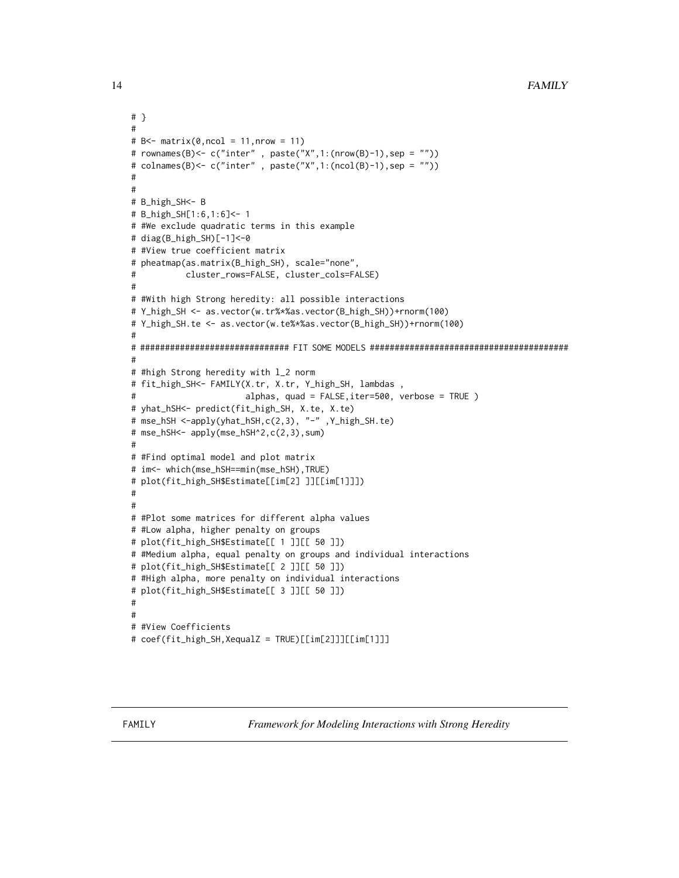```
# \}## B <- matrix(0, ncol = 11, nrow = 11)# rownames(B)<- c("inter", paste("X",1:(nrow(B)-1),sep = ""))
# colnames(B)<- c("inter", paste("X",1:(ncol(B)-1),sep = ""))
\pm## B_high_SH<- B
# B_high_SH[1:6,1:6] <- 1
# #We exclude quadratic terms in this example
# diag(B_high_SH)[-1]<-0
# #View true coefficient matrix
# pheatmap(as.matrix(B_high_SH), scale="none",
          cluster_rows=FALSE, cluster_cols=FALSE)
### #With high Strong heredity: all possible interactions
# Y_high_SH <- as.vector(w.tr%*%as.vector(B_high_SH))+rnorm(100)
# Y_high_SH.te <- as.vector(w.te%*%as.vector(B_high_SH))+rnorm(100)
### #high Strong heredity with 1_2 norm
# fit_high_SH<- FAMILY(X.tr, X.tr, Y_high_SH, lambdas,
                     alphas, quad = FALSE, iter=500, verbose = TRUE)
## yhat_hSH<- predict(fit_high_SH, X.te, X.te)
# mse_hSH <-apply(yhat_hSH,c(2,3), "-" ,Y_high_SH.te)
# mse_hSH<- apply(mse_hSH^2,c(2,3),sum)
## #Find optimal model and plot matrix
# im<- which(mse_hSH==min(mse_hSH),TRUE)
# plot(fit_high_SH$Estimate[[im[2] ]][[im[1]]])
\pm## #Plot some matrices for different alpha values
# #Low alpha, higher penalty on groups
# plot(fit_high_SH$Estimate[[ 1 ]][[ 50 ]])
# #Medium alpha, equal penalty on groups and individual interactions
# plot(fit_high_SH$Estimate[[ 2 ]][[ 50 ]])
# #High alpha, more penalty on individual interactions
# plot(fit_high_SH$Estimate[[ 3 ]][[ 50 ]])
#\## #View Coefficients
# coef(fit_high_SH, XequalZ = TRUE)[[im[2]]][[im[1]]]
```
<span id="page-13-1"></span>Framework for Modeling Interactions with Strong Heredity

<span id="page-13-0"></span> $14$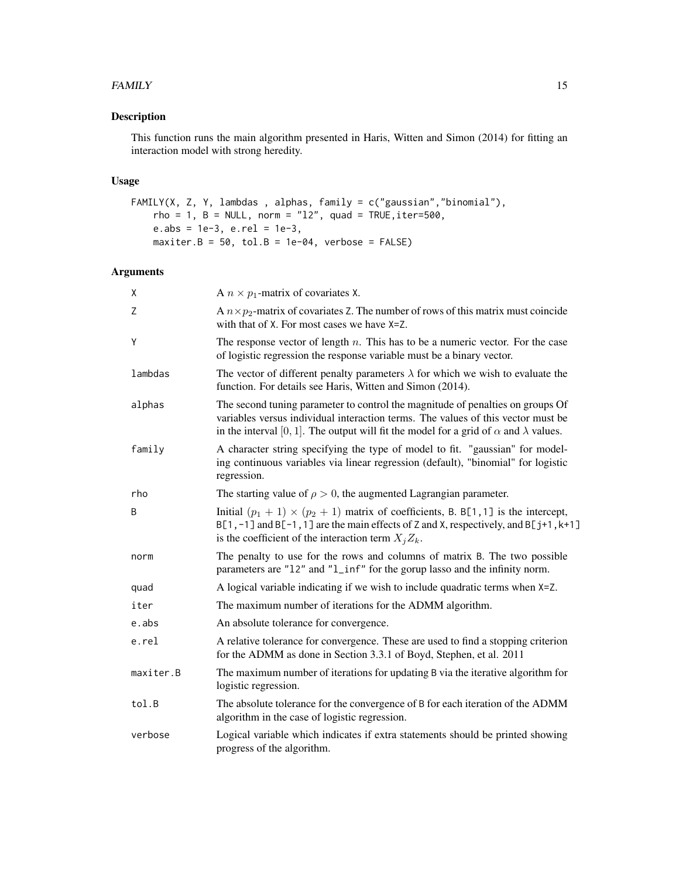#### FAMILY  $\blacksquare$  15

#### Description

This function runs the main algorithm presented in Haris, Witten and Simon (2014) for fitting an interaction model with strong heredity.

#### Usage

```
FAMILY(X, Z, Y, lambdas , alphas, family = c("gaussian","binomial"),
   rho = 1, B = NULL, norm = "12", quad = TRUE, iter=500,
   e.abs = 1e-3, e.rel = 1e-3,
   maxiter.B = 50, tol.B = 1e-04, verbose = FALSE)
```
#### Arguments

| Χ         | A $n \times p_1$ -matrix of covariates X.                                                                                                                                                                                                                                |
|-----------|--------------------------------------------------------------------------------------------------------------------------------------------------------------------------------------------------------------------------------------------------------------------------|
| Z         | A $n \times p_2$ -matrix of covariates Z. The number of rows of this matrix must coincide<br>with that of $X$ . For most cases we have $X = Z$ .                                                                                                                         |
| Υ         | The response vector of length $n$ . This has to be a numeric vector. For the case<br>of logistic regression the response variable must be a binary vector.                                                                                                               |
| lambdas   | The vector of different penalty parameters $\lambda$ for which we wish to evaluate the<br>function. For details see Haris, Witten and Simon (2014).                                                                                                                      |
| alphas    | The second tuning parameter to control the magnitude of penalties on groups Of<br>variables versus individual interaction terms. The values of this vector must be<br>in the interval [0, 1]. The output will fit the model for a grid of $\alpha$ and $\lambda$ values. |
| family    | A character string specifying the type of model to fit. "gaussian" for model-<br>ing continuous variables via linear regression (default), "binomial" for logistic<br>regression.                                                                                        |
| rho       | The starting value of $\rho > 0$ , the augmented Lagrangian parameter.                                                                                                                                                                                                   |
| B         | Initial $(p_1 + 1) \times (p_2 + 1)$ matrix of coefficients, B. B[1,1] is the intercept,<br>B[1,-1] and B[-1,1] are the main effects of Z and X, respectively, and B[j+1, k+1]<br>is the coefficient of the interaction term $X_i Z_k$ .                                 |
| norm      | The penalty to use for the rows and columns of matrix B. The two possible<br>parameters are "12" and "1_inf" for the gorup lasso and the infinity norm.                                                                                                                  |
| quad      | A logical variable indicating if we wish to include quadratic terms when X=Z.                                                                                                                                                                                            |
| iter      | The maximum number of iterations for the ADMM algorithm.                                                                                                                                                                                                                 |
| e.abs     | An absolute tolerance for convergence.                                                                                                                                                                                                                                   |
| e.rel     | A relative tolerance for convergence. These are used to find a stopping criterion<br>for the ADMM as done in Section 3.3.1 of Boyd, Stephen, et al. 2011                                                                                                                 |
| maxiter.B | The maximum number of iterations for updating B via the iterative algorithm for<br>logistic regression.                                                                                                                                                                  |
| tol.B     | The absolute tolerance for the convergence of B for each iteration of the ADMM<br>algorithm in the case of logistic regression.                                                                                                                                          |
| verbose   | Logical variable which indicates if extra statements should be printed showing<br>progress of the algorithm.                                                                                                                                                             |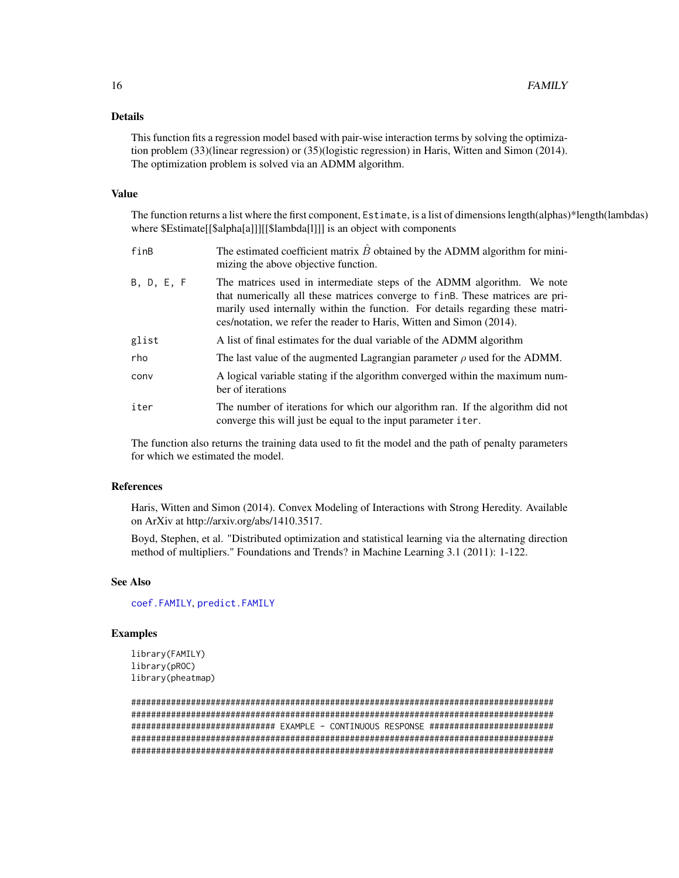#### <span id="page-15-0"></span>Details

This function fits a regression model based with pair-wise interaction terms by solving the optimization problem (33)(linear regression) or (35)(logistic regression) in Haris, Witten and Simon (2014). The optimization problem is solved via an ADMM algorithm.

#### Value

The function returns a list where the first component, Estimate, is a list of dimensions length(alphas)\*length(lambdas) where \$Estimate[[\$alpha[a]]][[\$lambda[1]]] is an object with components

| finB       | The estimated coefficient matrix $\ddot{B}$ obtained by the ADMM algorithm for mini-<br>mizing the above objective function.                                                                                                                                                                                      |
|------------|-------------------------------------------------------------------------------------------------------------------------------------------------------------------------------------------------------------------------------------------------------------------------------------------------------------------|
| B, D, E, F | The matrices used in intermediate steps of the ADMM algorithm. We note<br>that numerically all these matrices converge to finB. These matrices are pri-<br>marily used internally within the function. For details regarding these matri-<br>ces/notation, we refer the reader to Haris, Witten and Simon (2014). |
| glist      | A list of final estimates for the dual variable of the ADMM algorithm                                                                                                                                                                                                                                             |
| rho        | The last value of the augmented Lagrangian parameter $\rho$ used for the ADMM.                                                                                                                                                                                                                                    |
| conv       | A logical variable stating if the algorithm converged within the maximum num-<br>ber of iterations                                                                                                                                                                                                                |
| iter       | The number of iterations for which our algorithm ran. If the algorithm did not<br>converge this will just be equal to the input parameter i ter.                                                                                                                                                                  |

The function also returns the training data used to fit the model and the path of penalty parameters for which we estimated the model.

#### References

Haris, Witten and Simon (2014). Convex Modeling of Interactions with Strong Heredity. Available on ArXiv at http://arxiv.org/abs/1410.3517.

Boyd, Stephen, et al. "Distributed optimization and statistical learning via the alternating direction method of multipliers." Foundations and Trends? in Machine Learning 3.1 (2011): 1-122.

#### See Also

[coef.FAMILY](#page-7-1), [predict.FAMILY](#page-21-1)

#### Examples

```
library(FAMILY)
library(pROC)
library(pheatmap)
```
##################################################################################### ##################################################################################### ############################# EXAMPLE - CONTINUOUS RESPONSE ######################### ##################################################################################### #####################################################################################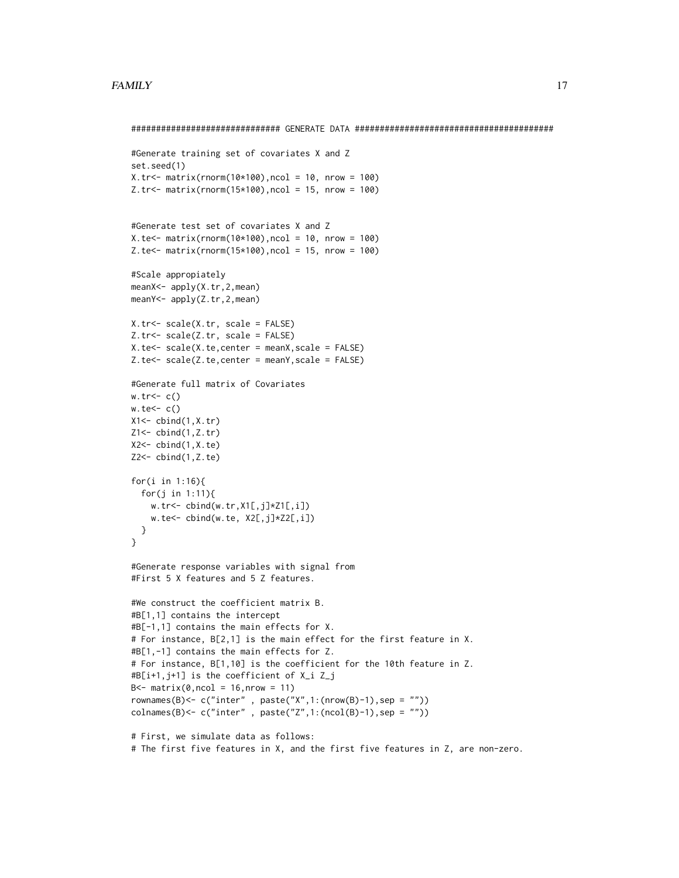#### FAMILY  $\qquad \qquad$  17

```
#Generate training set of covariates X and Z
set.seed(1)
X.tr<- matrix(rnorm(10*100),ncol = 10, nrow = 100)
Z.tr<- matrix(rnorm(15*100),ncol = 15, nrow = 100)
#Generate test set of covariates X and Z
X.te < - matrix(rnorm(10*100), ncol = 10, nrow = 100)
Z.te < - matrix(rnorm(15*100), ncol = 15, nrow = 100)
#Scale appropiately
meanX<- apply(X.tr,2,mean)
meanY<- apply(Z.tr,2,mean)
X.tr<- scale(X.tr, scale = FALSE)
Z.tr<- scale(Z.tr, scale = FALSE)
X.te<- scale(X.te,center = meanX,scale = FALSE)
Z.te<- scale(Z.te,center = meanY,scale = FALSE)
#Generate full matrix of Covariates
w.tr < - c()w.te<-c()X1 \leftarrow \text{cbind}(1, X \cdot \text{tr})Z1 \leftarrow \text{cbind}(1, Z. \text{tr})X2 \leftarrow \text{cbind}(1, X.te)Z2<- cbind(1,Z.te)
for(i in 1:16){
  for(j in 1:11){
    w.tr<- cbind(w.tr,X1[,j]*Z1[,i])
    w.te<- cbind(w.te, X2[,j]*Z2[,i])
 }
}
#Generate response variables with signal from
#First 5 X features and 5 Z features.
#We construct the coefficient matrix B.
#B[1,1] contains the intercept
#B[-1,1] contains the main effects for X.
# For instance, B[2,1] is the main effect for the first feature in X.
#B[1,-1] contains the main effects for Z.
# For instance, B[1,10] is the coefficient for the 10th feature in Z.
#B[i+1,j+1] is the coefficient of X_i Z_j
B<- matrix(0,ncol = 16,nrow = 11)
rownames(B)<- c("inter" , paste("X",1:(nrow(B)-1),sep = ""))
colnames(B) <- c("inter", paste("Z",1:(ncol(B)-1),sep = ""))
# First, we simulate data as follows:
# The first five features in X, and the first five features in Z, are non-zero.
```
############################## GENERATE DATA ########################################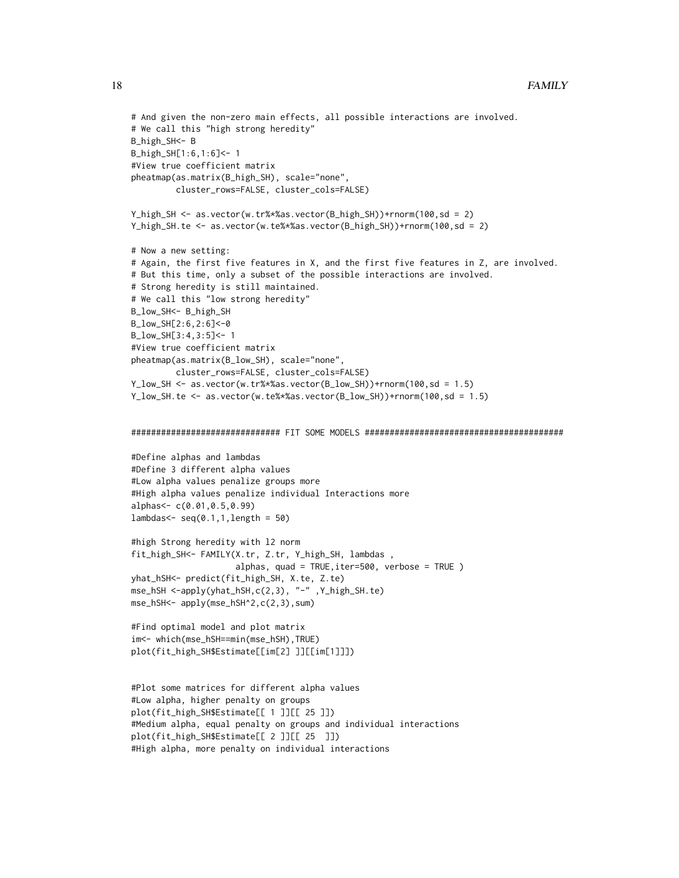```
# And given the non-zero main effects, all possible interactions are involved.
# We call this "high strong heredity"
B_high_SH<- B
B_high_SH[1:6,1:6]<- 1
#View true coefficient matrix
pheatmap(as.matrix(B_high_SH), scale="none",
         cluster_rows=FALSE, cluster_cols=FALSE)
Y_high_SH <- as.vector(w.tr%*%as.vector(B_high_SH))+rnorm(100,sd = 2)
Y_high_SH.te <- as.vector(w.te%*%as.vector(B_high_SH))+rnorm(100,sd = 2)
# Now a new setting:
# Again, the first five features in X, and the first five features in Z, are involved.
# But this time, only a subset of the possible interactions are involved.
# Strong heredity is still maintained.
# We call this "low strong heredity"
B_low_SH<- B_high_SH
B_low_SH[2:6,2:6]<-0
B_low_SH[3:4,3:5]<- 1
#View true coefficient matrix
pheatmap(as.matrix(B_low_SH), scale="none",
         cluster_rows=FALSE, cluster_cols=FALSE)
Y_low_SH <- as.vector(w.tr%*%as.vector(B_low_SH))+rnorm(100,sd = 1.5)
Y_low_SH.te <- as.vector(w.te%*%as.vector(B_low_SH))+rnorm(100,sd = 1.5)
############################## FIT SOME MODELS ########################################
#Define alphas and lambdas
#Define 3 different alpha values
#Low alpha values penalize groups more
#High alpha values penalize individual Interactions more
alphas<- c(0.01,0.5,0.99)
lambdas<-seq(0.1,1,length = 50)#high Strong heredity with l2 norm
fit_high_SH<- FAMILY(X.tr, Z.tr, Y_high_SH, lambdas ,
                     alphas, quad = TRUE,iter=500, verbose = TRUE )
yhat_hSH<- predict(fit_high_SH, X.te, Z.te)
mse_hSH <-apply(yhat_hSH,c(2,3), "-" ,Y_high_SH.te)
mse_hSH<- apply(mse_hSH^2,c(2,3),sum)
#Find optimal model and plot matrix
im<- which(mse_hSH==min(mse_hSH),TRUE)
plot(fit_high_SH$Estimate[[im[2] ]][[im[1]]])
#Plot some matrices for different alpha values
#Low alpha, higher penalty on groups
plot(fit_high_SH$Estimate[[ 1 ]][[ 25 ]])
```
#Medium alpha, equal penalty on groups and individual interactions plot(fit\_high\_SH\$Estimate[[ 2 ]][[ 25 ]]) #High alpha, more penalty on individual interactions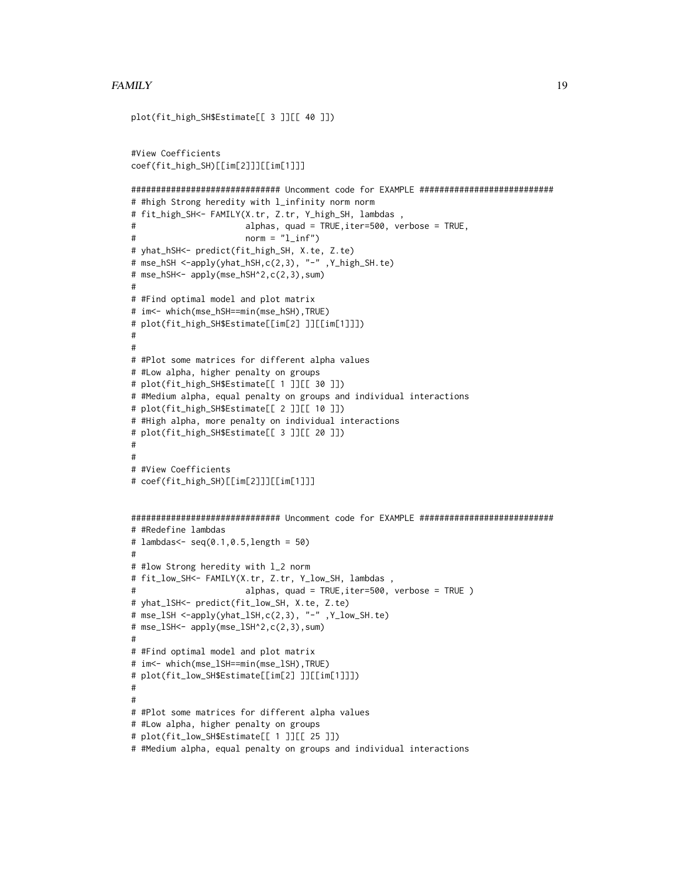#### FAMILY  $\blacksquare$

```
plot(fit_high_SH$Estimate[[ 3 ]][[ 40 ]])
#View Coefficients
coef(fit_high_SH)[[im[2]]][[im[1]]]
############################## Uncomment code for EXAMPLE ###########################
# #high Strong heredity with l_infinity norm norm
# fit_high_SH<- FAMILY(X.tr, Z.tr, Y_high_SH, lambdas ,
                      alphas, quad = TRUE, iter=500, verbose = TRUE,
# norm = "l_inf")
# yhat_hSH<- predict(fit_high_SH, X.te, Z.te)
# mse_hSH <-apply(yhat_hSH,c(2,3), "-" ,Y_high_SH.te)
# mse_hSH<- apply(mse_hSH^2,c(2,3),sum)
#
# #Find optimal model and plot matrix
# im<- which(mse_hSH==min(mse_hSH),TRUE)
# plot(fit_high_SH$Estimate[[im[2] ]][[im[1]]])
#
#
# #Plot some matrices for different alpha values
# #Low alpha, higher penalty on groups
# plot(fit_high_SH$Estimate[[ 1 ]][[ 30 ]])
# #Medium alpha, equal penalty on groups and individual interactions
# plot(fit_high_SH$Estimate[[ 2 ]][[ 10 ]])
# #High alpha, more penalty on individual interactions
# plot(fit_high_SH$Estimate[[ 3 ]][[ 20 ]])
#
#
# #View Coefficients
# coef(fit_high_SH)[[im[2]]][[im[1]]]
############################## Uncomment code for EXAMPLE ###########################
# #Redefine lambdas
# lambdas<- seq(0.1,0.5,length = 50)
#
# #low Strong heredity with l_2 norm
# fit_low_SH<- FAMILY(X.tr, Z.tr, Y_low_SH, lambdas ,
# alphas, quad = TRUE,iter=500, verbose = TRUE )
# yhat_lSH<- predict(fit_low_SH, X.te, Z.te)
# mse_lSH <-apply(yhat_lSH,c(2,3), "-" ,Y_low_SH.te)
# mse_lSH<- apply(mse_lSH^2,c(2,3),sum)
#
# #Find optimal model and plot matrix
# im<- which(mse_lSH==min(mse_lSH),TRUE)
# plot(fit_low_SH$Estimate[[im[2] ]][[im[1]]])
#
#
# #Plot some matrices for different alpha values
# #Low alpha, higher penalty on groups
# plot(fit_low_SH$Estimate[[ 1 ]][[ 25 ]])
# #Medium alpha, equal penalty on groups and individual interactions
```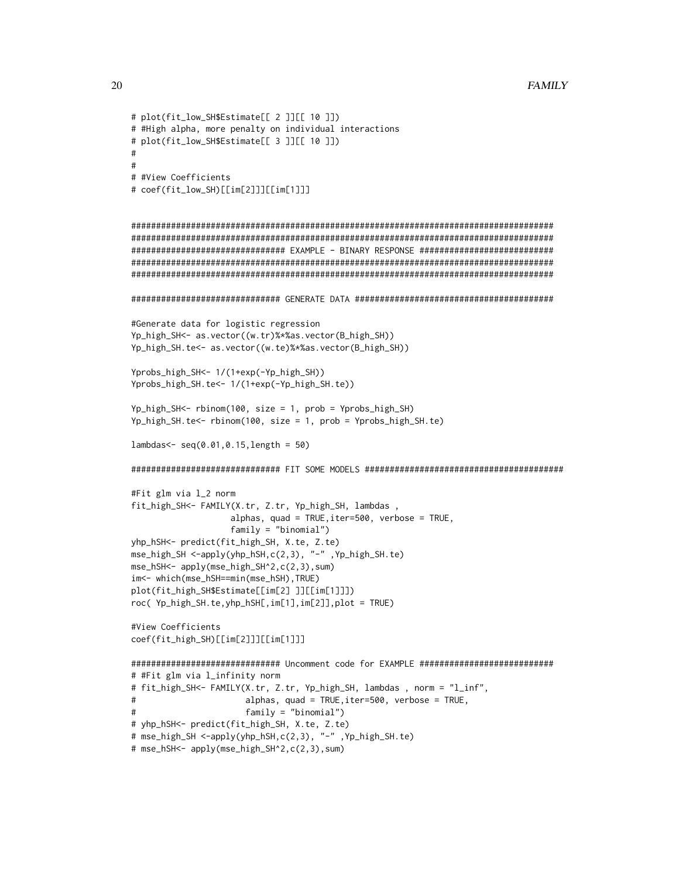```
# plot(fit_low_SH$Estimate[[ 2 ]][[ 10 ]])
# #High alpha, more penalty on individual interactions
# plot(fit_low_SH$Estimate[[ 3 ]][[ 10 ]])
## #View Coefficients
# coef(fit_low_SH)[[im[2]]][[im[1]]]
#Generate data for logistic regression
Yp_high_SH<- as.vector((w.tr)%*%as.vector(B_high_SH))
Yp_high_SH.te<- as.vector((w.te)%*%as.vector(B_high_SH))
Yprobs_high_SH<- 1/(1+exp(-Yp_high_SH))
Yprobs_high_SH.te<- 1/(1+exp(-Yp_high_SH.te))
Yp_high_SH<- rbinom(100, size = 1, prob = Yprobs_high_SH)
Yp_high_SH.te<- rbinom(100, size = 1, prob = Yprobs_high_SH.te)
lambdas < -seq(0.01, 0.15, length = 50)#Fit glm via 1_2 norm
fit_high_SH<- FAMILY(X.tr, Z.tr, Yp_high_SH, lambdas,
             alphas, quad = TRUE, iter=500, verbose = TRUE,
             family = "binomial")yhp_hSH<- predict(fit_high_SH, X.te, Z.te)
mse_high_SH <-apply(yhp_hSH,c(2,3), "-",Yp_high_SH.te)
mse_hSH<- apply(mse_high_SH^2,c(2,3),sum)
im<- which(mse_hSH==min(mse_hSH),TRUE)
plot(fit_high_SH$Estimate[[im[2] ]][[im[1]]])
roc( Yp_high_SH.te, yhp_hSH[, im[1], im[2]], plot = TRUE)
#View Coefficients
coef(fit_high_SH)[[im[2]]][[im[1]]]
# #Fit glm via l_infinity norm
# fit_high_SH<- FAMILY(X.tr, Z.tr, Yp_high_SH, lambdas, norm = "l_inf",
#alphas, quad = TRUE, iter=500, verbose = TRUE,
               family = "binomial")\pm# yhp_hSH<- predict(fit_high_SH, X.te, Z.te)
# mse_high_SH <-apply(yhp_hSH,c(2,3), "-" ,Yp_high_SH.te)
# mse_hSH<- apply(mse_high_SH^2,c(2,3),sum)
```
20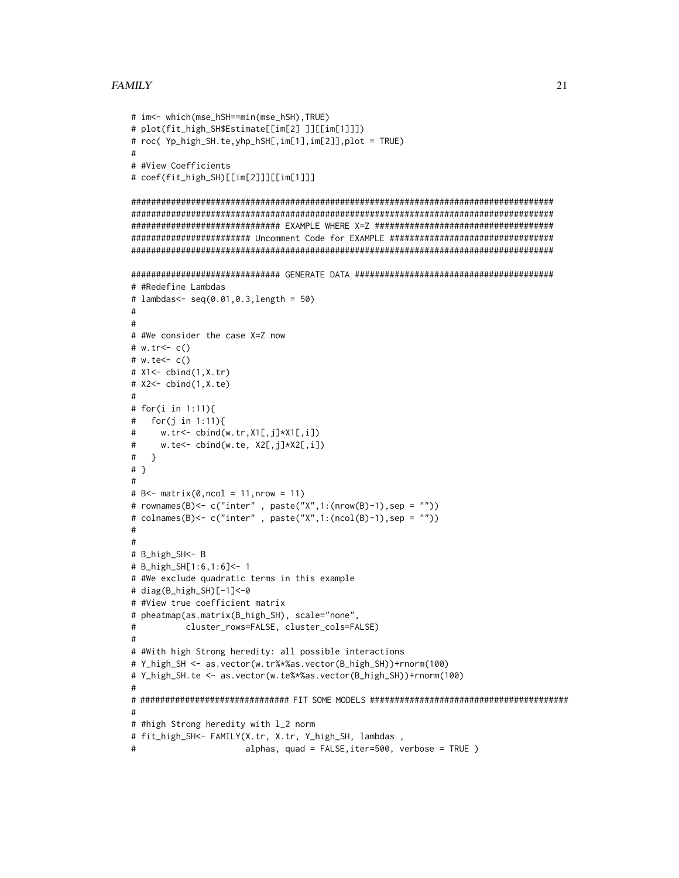#### **FAMILY**

```
# im<- which(mse_hSH==min(mse_hSH),TRUE)
# plot(fit_high_SH$Estimate[[im[2] ]][[im[1]]])
# roc( Yp_high_SH.te, yhp_hSH[, im[1], im[2]], plot = TRUE)
\pm# #View Coefficients
# coef(fit_high_SH)[[im[2]]][[im[1]]]
# #Redefine Lambdas
# lambdas <- seq(0.01,0.3, length = 50)
\pmb{\pm}## #We consider the case X=Z now
# w. tr < - c()# w.te<-c()# X1 \leftarrow \text{cbind}(1, X, tr)# X2 < - cbind(1, X.te)
#
# for(i in 1:11){
# for(j in 1:11){
   w. tr \leftarrow \text{cbind}(w. tr, X1[, j] \times X1[, i])##w.te < - cbind(w.te, X2[, j] * X2[, i])#\}# \}## B <- matrix(0, \text{ncol} = 11, \text{nrow} = 11)# rownames(B) <- c("inter", paste("X",1:(nrow(B)-1), sep = ""))
# colnames(B)<- c("inter", paste("X",1:(ncol(B)-1), sep = ""))
\pmb{\pm}# B_high_SH<- B
# B_high_SH[1:6,1:6] <- 1
# #We exclude quadratic terms in this example
# diag(B_high_SH)[-1]<-0
# #View true coefficient matrix
# pheatmap(as.matrix(B_high_SH), scale="none",
        cluster_rows=FALSE, cluster_cols=FALSE)
\pmb{\pm}## #With high Strong heredity: all possible interactions
# Y_high_SH <- as.vector(w.tr%*%as.vector(B_high_SH))+rnorm(100)
# Y_high_SH.te <- as.vector(w.te%*%as.vector(B_high_SH))+rnorm(100)
\pm# #high Strong heredity with 1_2 norm
# fit_high_SH<- FAMILY(X.tr, X.tr, Y_high_SH, lambdas
#alphas, quad = FALSE, iter=500, verbose = TRUE)
```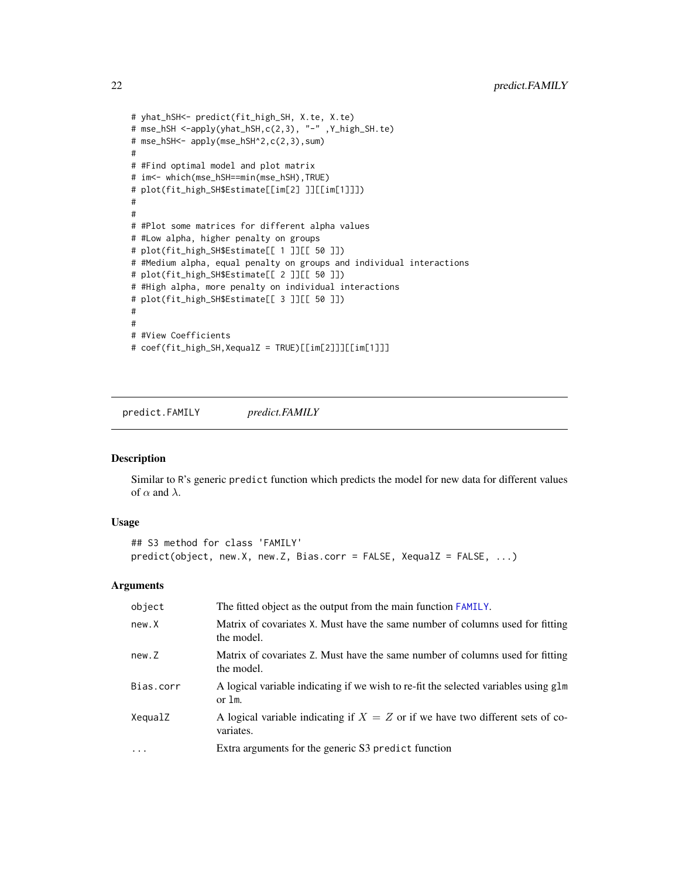```
# yhat_hSH<- predict(fit_high_SH, X.te, X.te)
# mse_hSH <-apply(yhat_hSH,c(2,3), "-" ,Y_high_SH.te)
# mse_hSH<- apply(mse_hSH^2,c(2,3),sum)
#
# #Find optimal model and plot matrix
# im<- which(mse_hSH==min(mse_hSH),TRUE)
# plot(fit_high_SH$Estimate[[im[2] ]][[im[1]]])
#
#
# #Plot some matrices for different alpha values
# #Low alpha, higher penalty on groups
# plot(fit_high_SH$Estimate[[ 1 ]][[ 50 ]])
# #Medium alpha, equal penalty on groups and individual interactions
# plot(fit_high_SH$Estimate[[ 2 ]][[ 50 ]])
# #High alpha, more penalty on individual interactions
# plot(fit_high_SH$Estimate[[ 3 ]][[ 50 ]])
#
#
# #View Coefficients
# coef(fit_high_SH,XequalZ = TRUE)[[im[2]]][[im[1]]]
```
<span id="page-21-1"></span>predict.FAMILY *predict.FAMILY*

#### Description

Similar to R's generic predict function which predicts the model for new data for different values of  $\alpha$  and  $\lambda$ .

#### Usage

```
## S3 method for class 'FAMILY'
predict(object, new.X, new.Z, Bias.corr = FALSE, XequalZ = FALSE, ...)
```
#### Arguments

| object    | The fitted object as the output from the main function FAMILY.                                |
|-----------|-----------------------------------------------------------------------------------------------|
| new.X     | Matrix of covariates X. Must have the same number of columns used for fitting<br>the model.   |
| new.Z     | Matrix of covariates Z. Must have the same number of columns used for fitting<br>the model.   |
| Bias.corr | A logical variable indicating if we wish to re-fit the selected variables using glm<br>or 1m. |
| XequalZ   | A logical variable indicating if $X = Z$ or if we have two different sets of co-<br>variates. |
| $\ddots$  | Extra arguments for the generic S3 predict function                                           |

<span id="page-21-0"></span>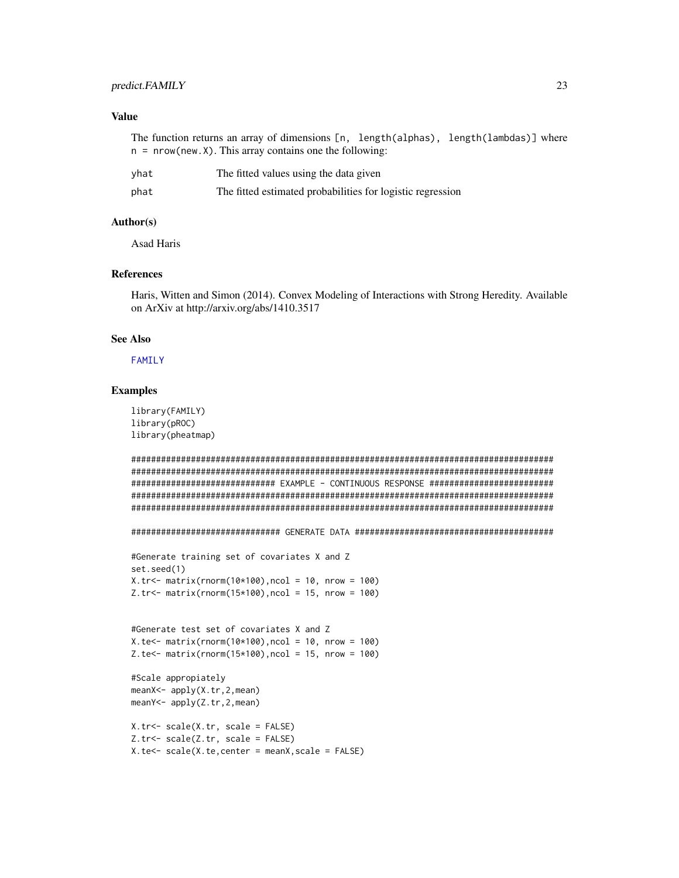#### <span id="page-22-0"></span>predict.FAMILY

#### **Value**

The function returns an array of dimensions [n, length(alphas), length(lambdas)] where  $n = nrow(new.X)$ . This array contains one the following:

| yhat | The fitted values using the data given                     |
|------|------------------------------------------------------------|
| phat | The fitted estimated probabilities for logistic regression |

#### Author(s)

**Asad Haris** 

#### **References**

Haris, Witten and Simon (2014). Convex Modeling of Interactions with Strong Heredity. Available on ArXiv at http://arxiv.org/abs/1410.3517

#### **See Also**

#### **FAMILY**

#### **Examples**

```
library(FAMILY)
library(pROC)
library(pheatmap)
```

```
#Generate training set of covariates X and Z
set.seed(1)
X.tr<- matrix(rnorm(10*100), ncol = 10, nrow = 100)
Z.tr <- matrix(rnorm(15*100), ncol = 15, nrow = 100)
#Generate test set of covariates X and Z
X.te < - matrix(rnorm(10*100), ncol = 10, nrow = 100)
Z.te<- matrix(rnorm(15*100), ncol = 15, nrow = 100)
#Scale appropiately
meanX <- apply(X.tr, 2, mean)
meanY<- apply(Z.tr,2,mean)
X.tr <- scale(X.tr, scale = FALSE)
Z. tr < - scale(Z.tr, scale = FALSE)X.te<-scale(X.te,center = meanX, scale = FALSE)
```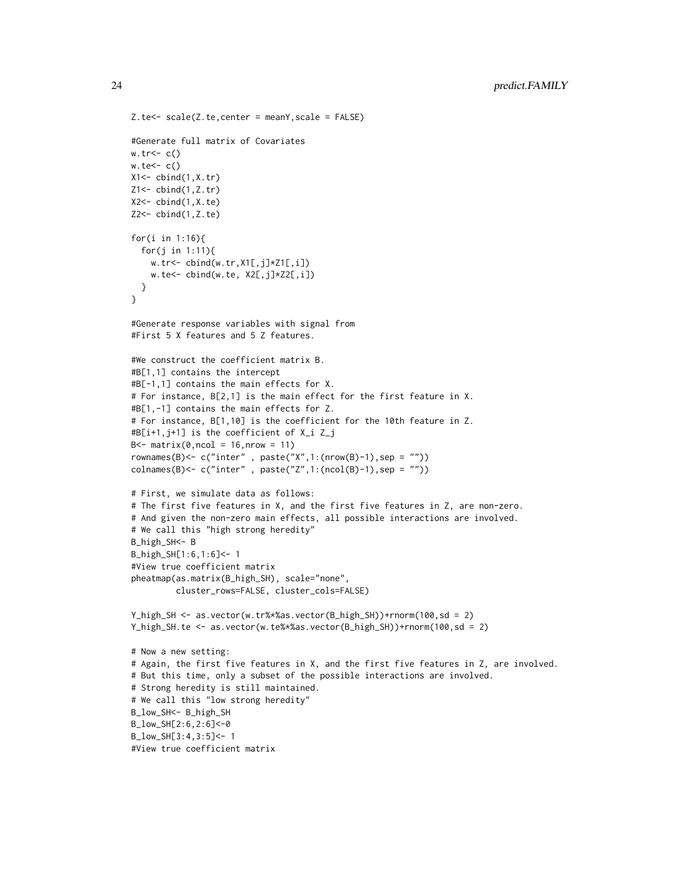```
Z.te<- scale(Z.te,center = meanY,scale = FALSE)
#Generate full matrix of Covariates
w.tr < -c()w.te<-c()X1 \leftarrow \text{cbind}(1, X \cdot \text{tr})Z1 \leftarrow \text{cbind}(1, Z. \text{tr})X2 \leftarrow \text{cbind}(1, X.te)Z2<- cbind(1,Z.te)
for(i in 1:16){
  for(j in 1:11){
    w.tr<- cbind(w.tr,X1[,j]*Z1[,i])
    w.te<- cbind(w.te, X2[,j]*Z2[,i])
  }
}
#Generate response variables with signal from
#First 5 X features and 5 Z features.
#We construct the coefficient matrix B.
#B[1,1] contains the intercept
#B[-1,1] contains the main effects for X.
# For instance, B[2,1] is the main effect for the first feature in X.
#B[1,-1] contains the main effects for Z.
# For instance, B[1,10] is the coefficient for the 10th feature in Z.
#B[i+1,j+1] is the coefficient of X_i Z_j
B<- matrix(0, \text{ncol} = 16, \text{nrow} = 11)rownames(B)<- c("inter" , paste("X",1:(nrow(B)-1),sep = ""))
\text{colnames}(B) <- \text{c("inter" , paste("Z", 1:(ncol(B)-1),sep = ""))# First, we simulate data as follows:
# The first five features in X, and the first five features in Z, are non-zero.
# And given the non-zero main effects, all possible interactions are involved.
# We call this "high strong heredity"
B_high_SH<- B
B_high_SH[1:6,1:6]<- 1
#View true coefficient matrix
pheatmap(as.matrix(B_high_SH), scale="none",
          cluster_rows=FALSE, cluster_cols=FALSE)
Y_high_SH <- as.vector(w.tr%*%as.vector(B_high_SH))+rnorm(100,sd = 2)
Y_high_SH.te <- as.vector(w.te%*%as.vector(B_high_SH))+rnorm(100,sd = 2)
# Now a new setting:
# Again, the first five features in X, and the first five features in Z, are involved.
# But this time, only a subset of the possible interactions are involved.
# Strong heredity is still maintained.
# We call this "low strong heredity"
B_low_SH<- B_high_SH
B_low_SH[2:6,2:6]<-0
B_low_SH[3:4,3:5]<- 1
#View true coefficient matrix
```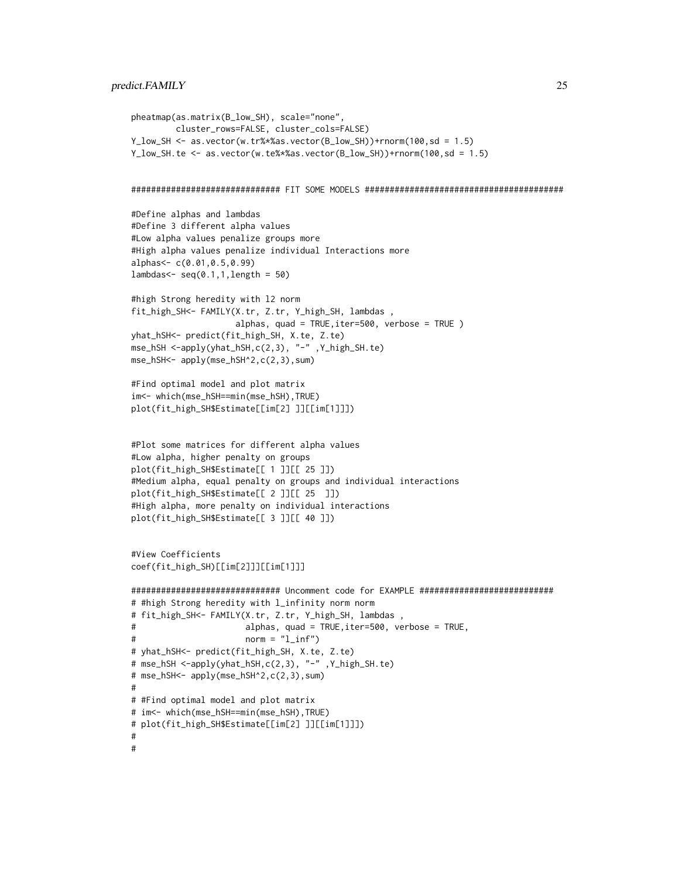#### predict.FAMILY 25

```
pheatmap(as.matrix(B_low_SH), scale="none",
        cluster_rows=FALSE, cluster_cols=FALSE)
Y_low_SH <- as.vector(w.tr%*%as.vector(B_low_SH))+rnorm(100,sd = 1.5)
Y_low_SH.te <- as.vector(w.te%*%as.vector(B_low_SH))+rnorm(100,sd = 1.5)
############################## FIT SOME MODELS ########################################
#Define alphas and lambdas
#Define 3 different alpha values
#Low alpha values penalize groups more
#High alpha values penalize individual Interactions more
alphas<- c(0.01,0.5,0.99)
lambdas<-seq(0.1,1,length = 50)#high Strong heredity with l2 norm
fit_high_SH<- FAMILY(X.tr, Z.tr, Y_high_SH, lambdas ,
                    alphas, quad = TRUE,iter=500, verbose = TRUE )
yhat_hSH<- predict(fit_high_SH, X.te, Z.te)
mse_hSH <-apply(yhat_hSH,c(2,3), "-" ,Y_high_SH.te)
mse_hSH<- apply(mse_hSH^2,c(2,3),sum)
#Find optimal model and plot matrix
im<- which(mse_hSH==min(mse_hSH),TRUE)
plot(fit_high_SH$Estimate[[im[2] ]][[im[1]]])
#Plot some matrices for different alpha values
#Low alpha, higher penalty on groups
plot(fit_high_SH$Estimate[[ 1 ]][[ 25 ]])
#Medium alpha, equal penalty on groups and individual interactions
plot(fit_high_SH$Estimate[[ 2 ]][[ 25 ]])
#High alpha, more penalty on individual interactions
plot(fit_high_SH$Estimate[[ 3 ]][[ 40 ]])
#View Coefficients
coef(fit_high_SH)[[im[2]]][[im[1]]]
############################## Uncomment code for EXAMPLE ###########################
# #high Strong heredity with l_infinity norm norm
# fit_high_SH<- FAMILY(X.tr, Z.tr, Y_high_SH, lambdas ,
# alphas, quad = TRUE,iter=500, verbose = TRUE,
\# norm = "l_inf")
# yhat_hSH<- predict(fit_high_SH, X.te, Z.te)
# mse_hSH <-apply(yhat_hSH,c(2,3), "-" ,Y_high_SH.te)
# mse_hSH<- apply(mse_hSH^2,c(2,3),sum)
#
# #Find optimal model and plot matrix
# im<- which(mse_hSH==min(mse_hSH),TRUE)
# plot(fit_high_SH$Estimate[[im[2] ]][[im[1]]])
#
#
```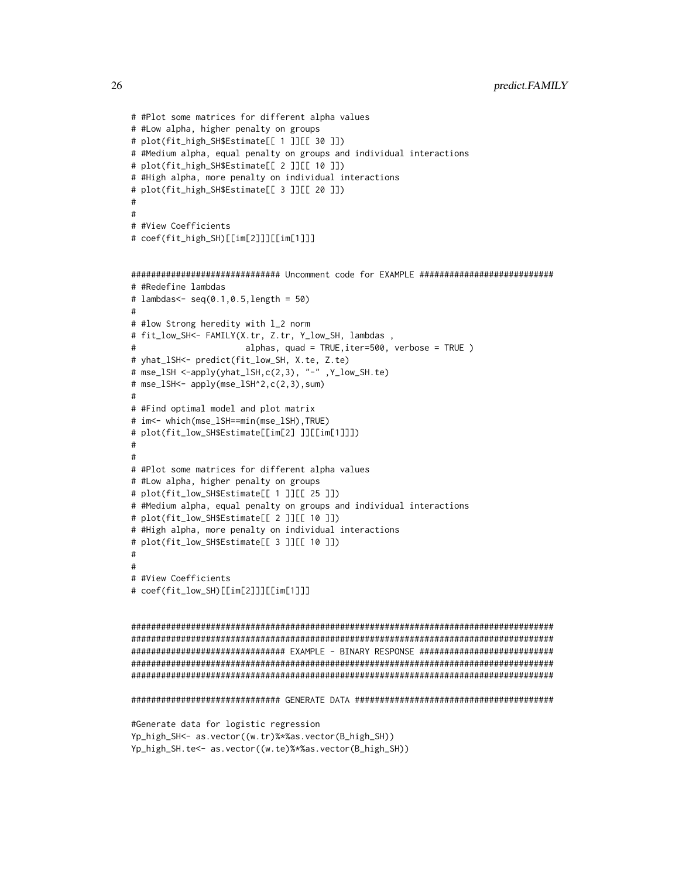```
# #Plot some matrices for different alpha values
# #Low alpha, higher penalty on groups
# plot(fit_high_SH$Estimate[[ 1 ]][[ 30 ]])
# #Medium alpha, equal penalty on groups and individual interactions
# plot(fit_high_SH$Estimate[[ 2 ]][[ 10 ]])
# #High alpha, more penalty on individual interactions
# plot(fit_high_SH$Estimate[[ 3 ]][[ 20 ]])
#
#
# #View Coefficients
# coef(fit_high_SH)[[im[2]]][[im[1]]]
############################## Uncomment code for EXAMPLE ###########################
# #Redefine lambdas
# lambdas<- seq(0.1,0.5,length = 50)
#
# #low Strong heredity with l_2 norm
# fit_low_SH<- FAMILY(X.tr, Z.tr, Y_low_SH, lambdas ,
# alphas, quad = TRUE,iter=500, verbose = TRUE )
# yhat_lSH<- predict(fit_low_SH, X.te, Z.te)
# mse_lSH <-apply(yhat_lSH,c(2,3), "-" ,Y_low_SH.te)
# mse_lSH<- apply(mse_lSH^2,c(2,3),sum)
#
# #Find optimal model and plot matrix
# im<- which(mse_lSH==min(mse_lSH),TRUE)
# plot(fit_low_SH$Estimate[[im[2] ]][[im[1]]])
#
#
# #Plot some matrices for different alpha values
# #Low alpha, higher penalty on groups
# plot(fit_low_SH$Estimate[[ 1 ]][[ 25 ]])
# #Medium alpha, equal penalty on groups and individual interactions
# plot(fit_low_SH$Estimate[[ 2 ]][[ 10 ]])
# #High alpha, more penalty on individual interactions
# plot(fit_low_SH$Estimate[[ 3 ]][[ 10 ]])
#
#
# #View Coefficients
# coef(fit_low_SH)[[im[2]]][[im[1]]]
#####################################################################################
#####################################################################################
############################### EXAMPLE - BINARY RESPONSE ###########################
#####################################################################################
#####################################################################################
############################## GENERATE DATA ########################################
#Generate data for logistic regression
```
Yp\_high\_SH<- as.vector((w.tr)%\*%as.vector(B\_high\_SH)) Yp\_high\_SH.te<- as.vector((w.te)%\*%as.vector(B\_high\_SH))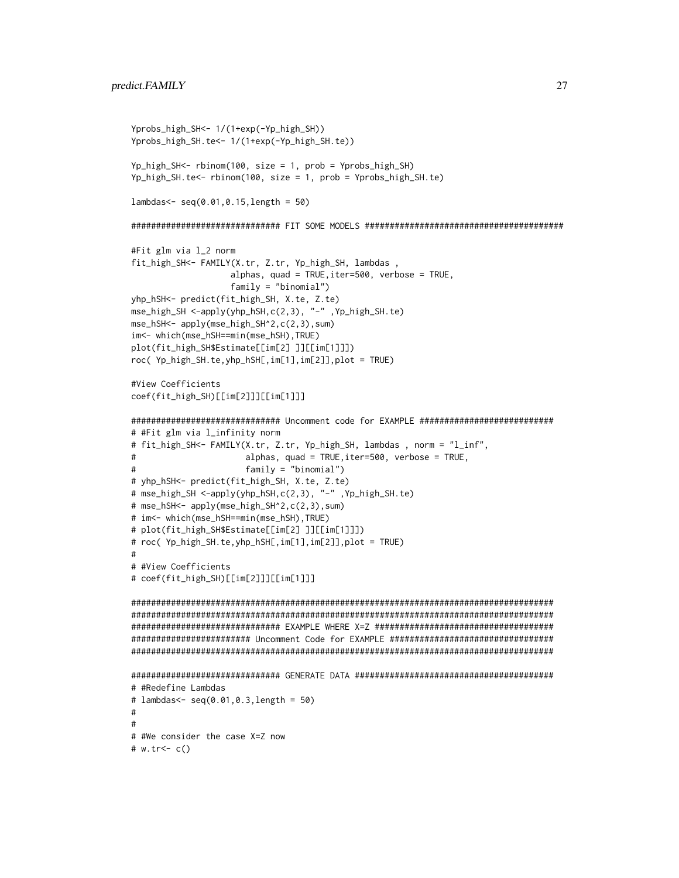```
Yprobs_high_SH<- 1/(1+exp(-Yp_high_SH))
Yprobs_high_SH.te<- 1/(1+exp(-Yp_high_SH.te))
Yp_high_SH<- rbinom(100, size = 1, prob = Yprobs_high_SH)
Yp_high_SH.te<- rbinom(100, size = 1, prob = Yprobs_high_SH.te)
lambdas<-seq(0.01, 0.15, length = 50)#Fit glm via 1_2 norm
fit_high_SH<- FAMILY(X.tr, Z.tr, Yp_high_SH, lambdas,
             alphas, quad = TRUE, iter=500, verbose = TRUE,
             family = "binomial")yhp_hSH<- predict(fit_high_SH, X.te, Z.te)
mse_high_SH <-apply(yhp_hSH,c(2,3), "-",Yp_high_SH.te)
mse_hSH<- apply(mse_high_SH^2,c(2,3),sum)
im<- which(mse_hSH==min(mse_hSH),TRUE)
plot(fit_high_SH$Estimate[[im[2] ]][[im[1]]])
roc( Yp_high_SH.te, yhp_hSH[, im[1], im[2]], plot = TRUE)#View Coefficients
coef(fit_high_SH)[[im[2]]][[im[1]]]
# #Fit glm via l_infinity norm
# fit_high_SH<- FAMILY(X.tr, Z.tr, Yp_high_SH, lambdas, norm = "l_inf",
               alphas, quad = TRUE, iter=500, verbose = TRUE,family = "binomial")## yhp_hSH<- predict(fit_high_SH, X.te, Z.te)
# mse_high_SH <-apply(yhp_hSH,c(2,3), "-",Yp_high_SH.te)
# mse_hSH<- apply(mse_high_SH^2,c(2,3),sum)
# im<- which(mse_hSH==min(mse_hSH),TRUE)
# plot(fit_high_SH$Estimate[[im[2] ]][[im[1]]])
# roc( Yp_high_SH.te,yhp_hSH[,im[1],im[2]],plot = TRUE)
# #View Coefficients
# coef(fit_high_SH)[[im[2]]][[im[1]]]
# #Redefine Lambdas
# lambdas <- seq(0.01, 0.3, length = 50)# #We consider the case X=Z now
# w. tr < - c()
```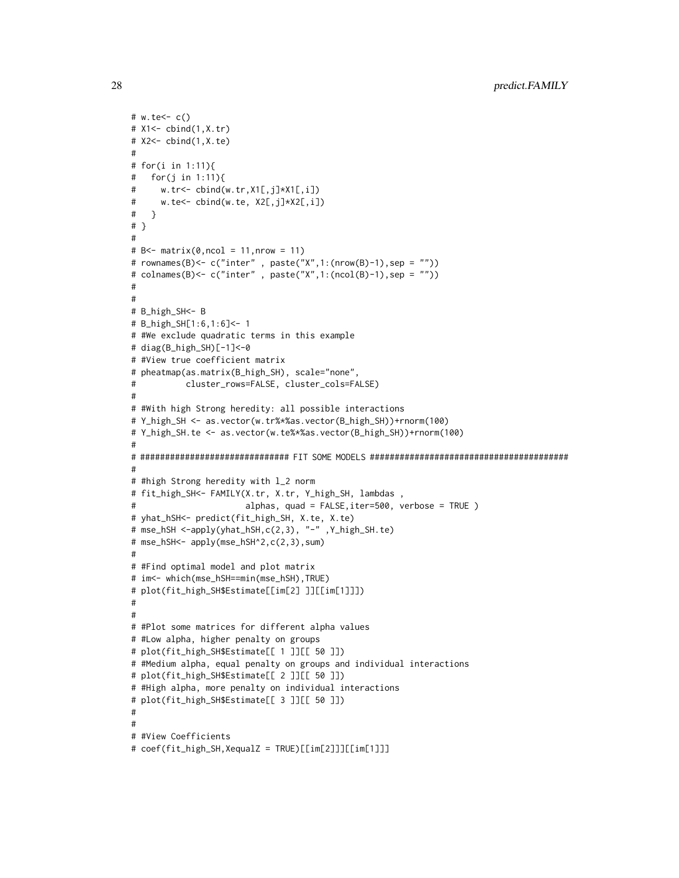```
# w.te<- c()
# X1<- cbind(1,X.tr)
# X2<- cbind(1,X.te)
#
# for(i in 1:11){
# for(j in 1:11){
# w.tr<- cbind(w.tr,X1[,j]*X1[,i])
# w.te<- cbind(w.te, X2[,j]*X2[,i])
# }
# }
#
# B<- matrix(0,ncol = 11,nrow = 11)
# rownames(B)<- c("inter" , paste("X",1:(nrow(B)-1),sep = ""))
# colnames(B)<- c("inter" , paste("X",1:(ncol(B)-1),sep = ""))
#
#
# B_high_SH<- B
# B_high_SH[1:6,1:6]<- 1
# #We exclude quadratic terms in this example
# diag(B_high_SH)[-1]<-0
# #View true coefficient matrix
# pheatmap(as.matrix(B_high_SH), scale="none",
# cluster_rows=FALSE, cluster_cols=FALSE)
#
# #With high Strong heredity: all possible interactions
# Y_high_SH <- as.vector(w.tr%*%as.vector(B_high_SH))+rnorm(100)
# Y_high_SH.te <- as.vector(w.te%*%as.vector(B_high_SH))+rnorm(100)
#
# ############################## FIT SOME MODELS ########################################
#
# #high Strong heredity with l_2 norm
# fit_high_SH<- FAMILY(X.tr, X.tr, Y_high_SH, lambdas ,
                       alpha, quad = FALSE, iter=500, verbose = TRUE )
# yhat_hSH<- predict(fit_high_SH, X.te, X.te)
# mse_hSH <-apply(yhat_hSH,c(2,3), "-" ,Y_high_SH.te)
# mse_hSH<- apply(mse_hSH^2,c(2,3),sum)
#
# #Find optimal model and plot matrix
# im<- which(mse_hSH==min(mse_hSH),TRUE)
# plot(fit_high_SH$Estimate[[im[2] ]][[im[1]]])
#
#
# #Plot some matrices for different alpha values
# #Low alpha, higher penalty on groups
# plot(fit_high_SH$Estimate[[ 1 ]][[ 50 ]])
# #Medium alpha, equal penalty on groups and individual interactions
# plot(fit_high_SH$Estimate[[ 2 ]][[ 50 ]])
# #High alpha, more penalty on individual interactions
# plot(fit_high_SH$Estimate[[ 3 ]][[ 50 ]])
#
#
# #View Coefficients
# coef(fit_high_SH,XequalZ = TRUE)[[im[2]]][[im[1]]]
```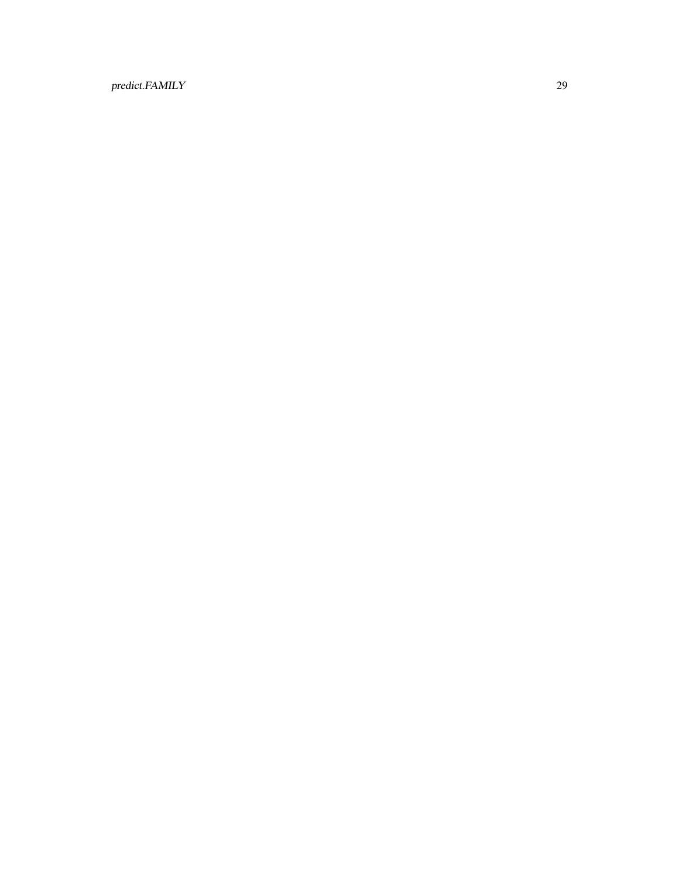#### predict.FAMILY 29